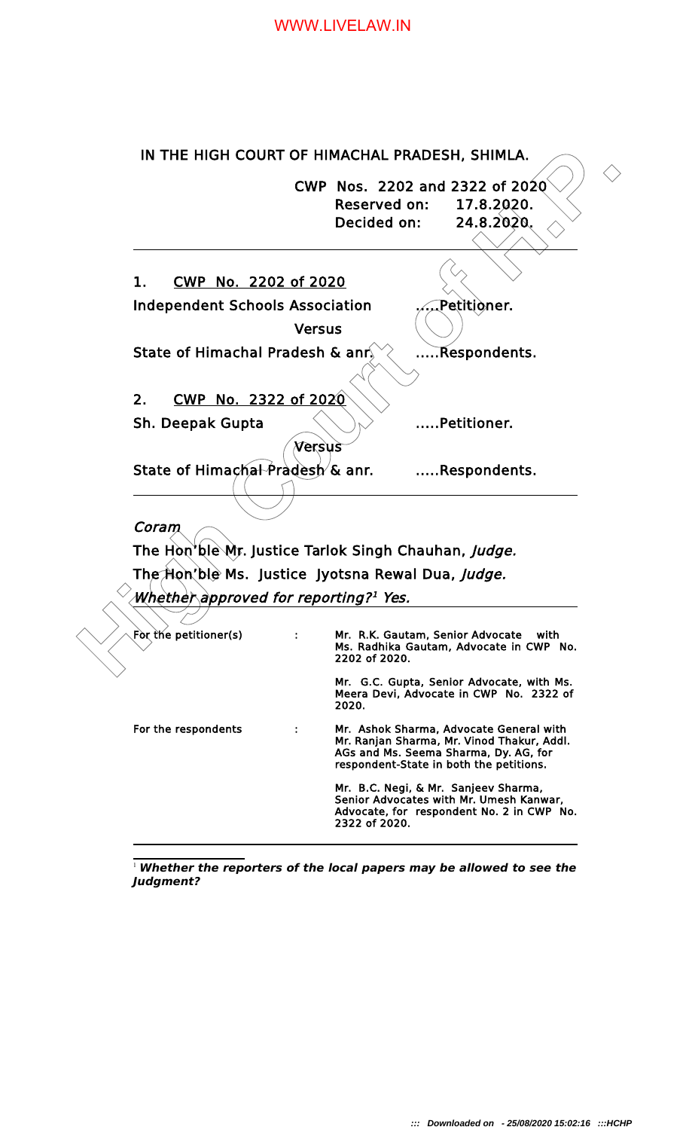|                                        | IN THE HIGH COURT OF HIMACHAL PRADESH, SHIMLA.                                                                                                                            |      |
|----------------------------------------|---------------------------------------------------------------------------------------------------------------------------------------------------------------------------|------|
|                                        | CWP Nos. 2202 and 2322 of 2020<br>17.8.2020.<br><b>Reserved on:</b><br>24.8.2020.<br><b>Decided on:</b>                                                                   |      |
| CWP No. 2202 of 2020<br>1.             |                                                                                                                                                                           |      |
| <b>Independent Schools Association</b> | Petitioner.                                                                                                                                                               |      |
|                                        | <b>Versus</b>                                                                                                                                                             |      |
| State of Himachal Pradesh & anr.       | Respondents.                                                                                                                                                              |      |
|                                        |                                                                                                                                                                           |      |
| CWP No. 2322 of 2020<br>2.             |                                                                                                                                                                           |      |
| Sh. Deepak Gupta                       | .Petitioner.                                                                                                                                                              |      |
|                                        | $\mathcal N$ ersus                                                                                                                                                        |      |
|                                        | State of Himachal Pradesh & anr. Respondents.                                                                                                                             |      |
|                                        |                                                                                                                                                                           |      |
| Coram                                  |                                                                                                                                                                           |      |
|                                        | The Hon'ble Mr. Justice Tarlok Singh Chauhan, Judge.                                                                                                                      |      |
|                                        | The Hon'ble Ms. Justice Jyotsna Rewal Dua, Judge.                                                                                                                         |      |
|                                        | Whether approved for reporting?1 Yes.                                                                                                                                     |      |
|                                        |                                                                                                                                                                           |      |
| For the petitioner(s)                  | Mr. R.K. Gautam, Senior Advocate<br>÷.<br>Ms. Radhika Gautam, Advocate in CWP No.<br>2202 of 2020.                                                                        | with |
|                                        | Mr. G.C. Gupta, Senior Advocate, with Ms.<br>Meera Devi, Advocate in CWP No. 2322 of<br>2020.                                                                             |      |
| For the respondents                    | Mr. Ashok Sharma, Advocate General with<br>Mr. Ranjan Sharma, Mr. Vinod Thakur, Addl.<br>AGs and Ms. Seema Sharma, Dy. AG, for<br>respondent-State in both the petitions. |      |

<sup>1</sup> **Whether the reporters of the local papers may be allowed to see the Judgment?**

2322 of 2020.

Mr. B.C. Negi, & Mr. Sanjeev Sharma, Senior Advocates with Mr. Umesh Kanwar, Advocate, for respondent No. 2 in CWP No.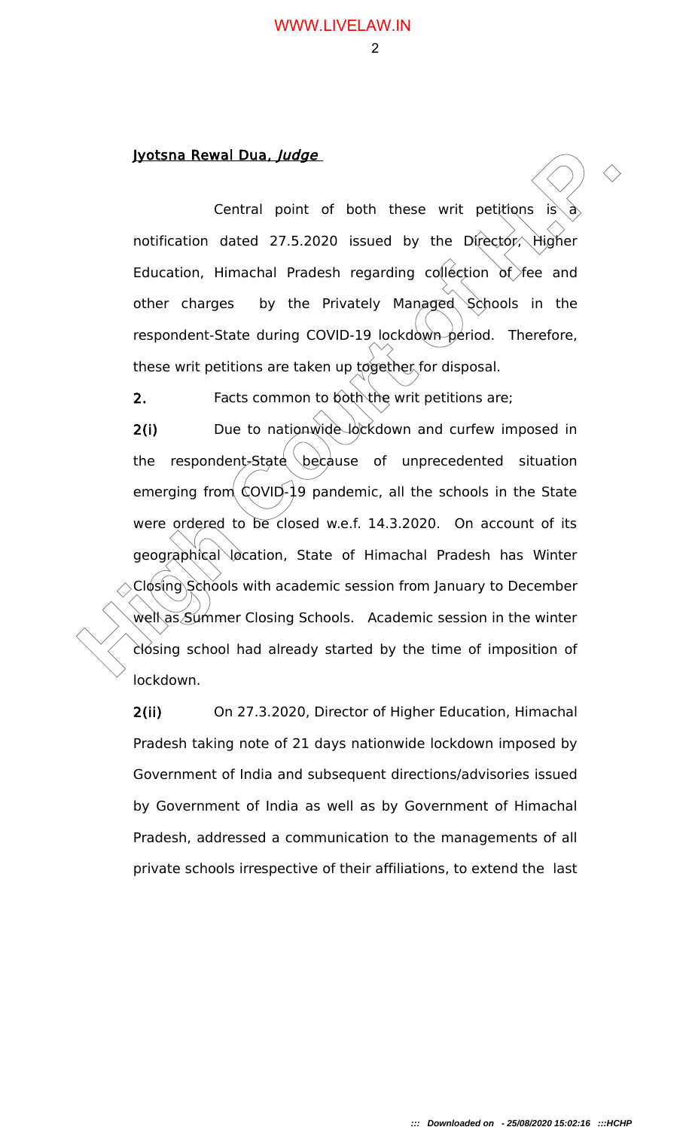# Jyotsna Rewal Dua, Judge

Central point of both these writ petitions is notification dated 27.5.2020 issued by the Director, Higher Education, Himachal Pradesh regarding collection of fee and other charges by the Privately Managed Schools in the respondent-State during COVID-19 lockdown period. Therefore, these writ petitions are taken up together for disposal.

2. Facts common to both the writ petitions are;

**Substrant Rewall Dual, Judge.**<br>
Central point of both these writ petitions is a notification dated 27.5.2020 issued by the Director, Higher Education, Himachal Pradesh regarding collection of the and other charges by the 2(i) Due to nationwide lockdown and curfew imposed in the respondent-State because of unprecedented situation emerging from  $\&$ OVID-19 pandemic, all the schools in the State were ordered to be closed w.e.f. 14.3.2020. On account of its geographical location, State of Himachal Pradesh has Winter Closing Schools with academic session from January to December well as Summer Closing Schools. Academic session in the winter closing school had already started by the time of imposition of lockdown.

2(ii) On 27.3.2020, Director of Higher Education, Himachal Pradesh taking note of 21 days nationwide lockdown imposed by Government of India and subsequent directions/advisories issued by Government of India as well as by Government of Himachal Pradesh, addressed a communication to the managements of all private schools irrespective of their affiliations, to extend the last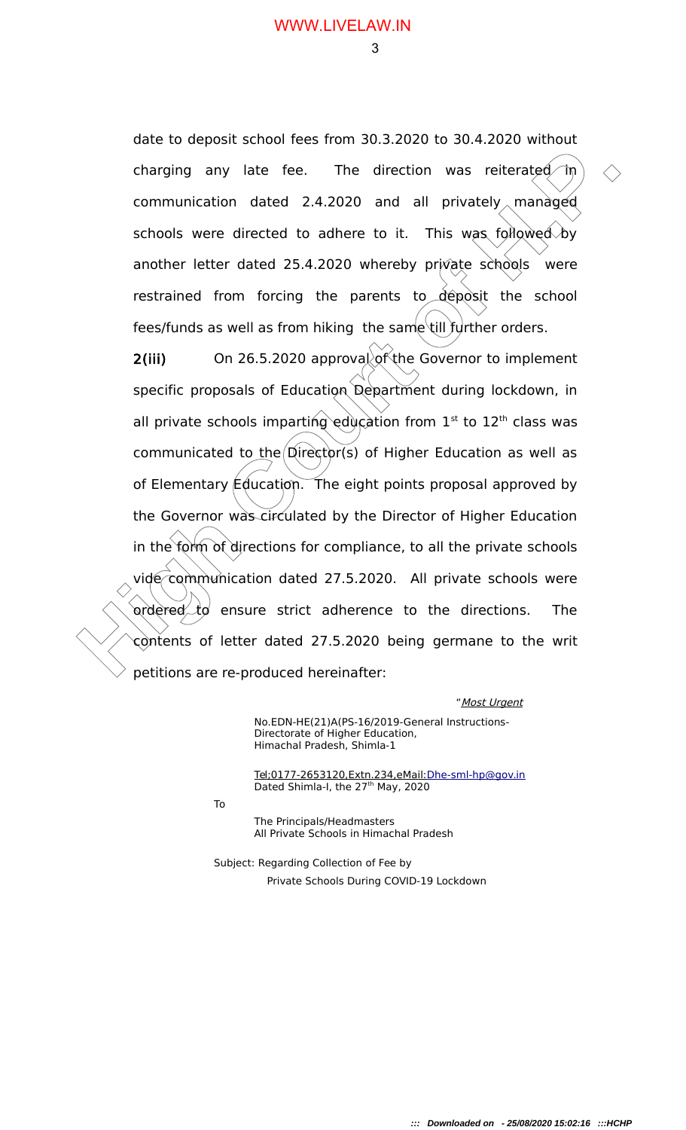date to deposit school fees from 30.3.2020 to 30.4.2020 without charging any late fee. The direction was reiterated in communication dated 2.4.2020 and all privately managed schools were directed to adhere to it. This was followed by another letter dated 25.4.2020 whereby private schools were restrained from forcing the parents to deposit the school fees/funds as well as from hiking the same till further orders.

charging any late fee. The direction was reiterated in  $\Diamond$ <br>communication dated 2.4.2020 and all privately managed<br>schools were directed to adhere to it. This was followed by<br>another letter dated 25.4.2020 whereby private  $2(iii)$  On 26.5.2020 approval of the Governor to implement specific proposals of Education Department during lockdown, in all private schools imparting education from  $1<sup>st</sup>$  to  $12<sup>th</sup>$  class was communicated to the  $Dire\zeta$ tor(s) of Higher Education as well as of Elementary Education. The eight points proposal approved by the Governor was circulated by the Director of Higher Education in the form of directions for compliance, to all the private schools vide communication dated 27.5.2020. All private schools were ordered to ensure strict adherence to the directions. The contents of letter dated 27.5.2020 being germane to the writ petitions are re-produced hereinafter:

"Most Urgent

No.EDN-HE(21)A(PS-16/2019-General Instructions-Directorate of Higher Education, Himachal Pradesh, Shimla-1

 Tel;0177-2653120,Extn.234,eMail: Dhe-sml-hp@gov.in Dated Shimla-I, the 27<sup>th</sup> May, 2020

To

The Principals/Headmasters All Private Schools in Himachal Pradesh

Subject: Regarding Collection of Fee by Private Schools During COVID-19 Lockdown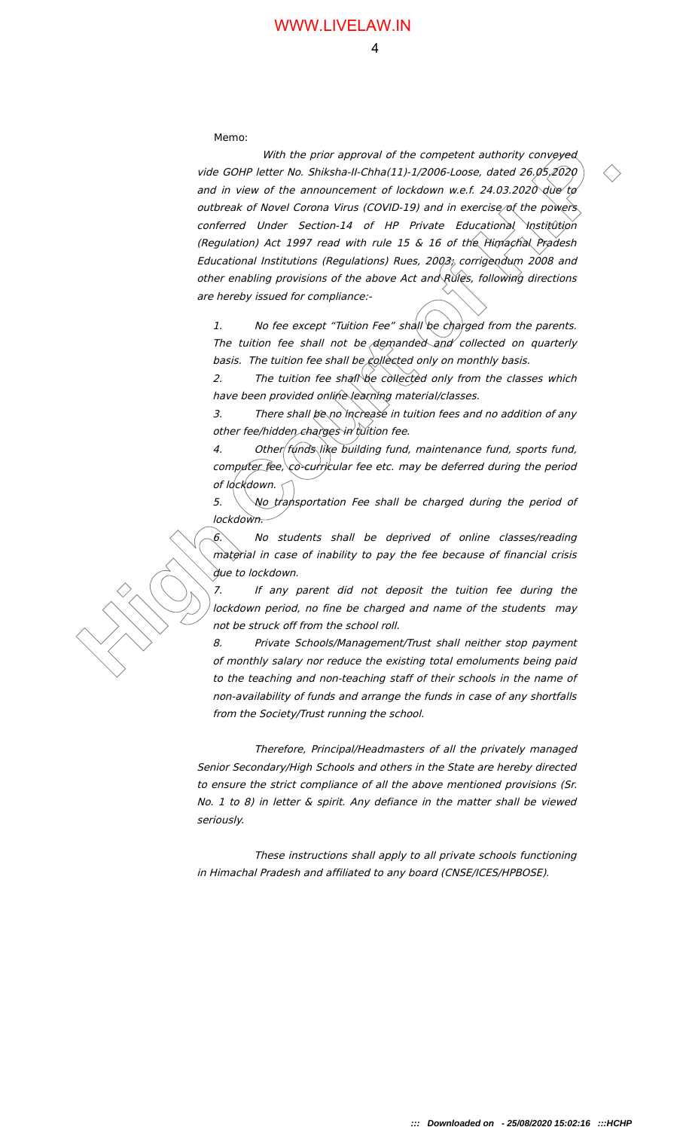Memo:

What the prior approach of the carbon conclusion of the case of the court of the court of the court of the court of the court of the court of the court of the court of the court of the court of the court of the court of t With the prior approval of the competent authority conveyed vide GOHP letter No. Shiksha-II-Chha(11)-1/2006-Loose, dated 26.05.2020 and in view of the announcement of lockdown w.e.f. 24.03.2020 due to outbreak of Novel Corona Virus (COVID-19) and in exercise of the powers conferred Under Section-14 of HP Private Educational Institution (Regulation) Act 1997 read with rule 15 & 16 of the Himachal Pradesh Educational Institutions (Regulations) Rues, 2003; corrigendum 2008 and other enabling provisions of the above Act and Rules, following directions are hereby issued for compliance:-

1. No fee except "Tuition Fee" shall be charged from the parents. The tuition fee shall not be demanded and collected on quarterly basis. The tuition fee shall be collected only on monthly basis.

2. The tuition fee shall be collected only from the classes which have been provided online learning material/classes.

3. There shall be no increase in tuition fees and no addition of any other fee/hidden charges in tuition fee.

4. Other funds like building fund, maintenance fund, sports fund, computer fee, co-curricular fee etc. may be deferred during the period of lockdown.

5.  $\setminus$  No transportation Fee shall be charged during the period of lockdown.

 $6$ . No students shall be deprived of online classes/reading material in case of inability to pay the fee because of financial crisis due to lockdown.

7. If any parent did not deposit the tuition fee during the lockdown period, no fine be charged and name of the students may not be struck off from the school roll.

8. Private Schools/Management/Trust shall neither stop payment of monthly salary nor reduce the existing total emoluments being paid to the teaching and non-teaching staff of their schools in the name of non-availability of funds and arrange the funds in case of any shortfalls from the Society/Trust running the school.

Therefore, Principal/Headmasters of all the privately managed Senior Secondary/High Schools and others in the State are hereby directed to ensure the strict compliance of all the above mentioned provisions (Sr. No. 1 to 8) in letter & spirit. Any defiance in the matter shall be viewed seriously.

These instructions shall apply to all private schools functioning in Himachal Pradesh and affiliated to any board (CNSE/ICES/HPBOSE).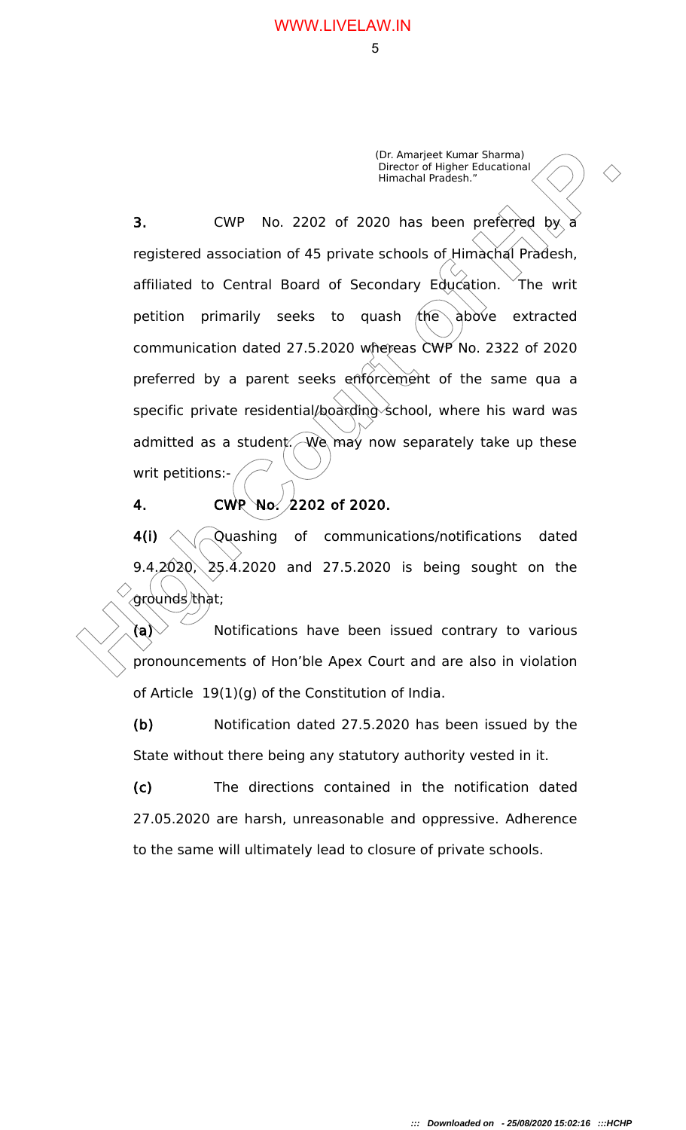(Dr. Amarjeet Kumar Sharma) Director of Higher Educational Himachal Pradesh."

**EXAMPLE KIND CONTRANSIGNATION**<br> **EXAMPLE CONTRANSIGNATION**<br> **EXAMPLE CONTRANSIGNATION**<br> **EXAMPLE CONTRANSIGNATION**<br> **EXAMPLE CONTRANSIGNATION**<br> **EXAMPLE CONTRANSIGNATION**<br> **EXAMPLE CONTRANSIGNATION**<br> **EXAMPLE CONTRANSIGN** 3. CWP No. 2202 of 2020 has been preferred by registered association of 45 private schools of Himachal Pradesh, affiliated to Central Board of Secondary Education. The writ petition primarily seeks to quash  $\Delta$ he above extracted communication dated 27.5.2020 whereas CWP No. 2322 of 2020 preferred by a parent seeks enforcement of the same qua a specific private residential/boarding school, where his ward was admitted as a student.  $\angle$ We may now separately take up these writ petitions:-

4. CWR No.  $/2202$  of 2020.

 $4(i) \triangleleft$ Quashing of communications/notifications dated 9.4.2020, 25.4.2020 and 27.5.2020 is being sought on the grounds that:

(a)  $\vee$  Notifications have been issued contrary to various pronouncements of Hon'ble Apex Court and are also in violation of Article 19(1)(g) of the Constitution of India.

(b) Notification dated 27.5.2020 has been issued by the State without there being any statutory authority vested in it.

(c) The directions contained in the notification dated 27.05.2020 are harsh, unreasonable and oppressive. Adherence to the same will ultimately lead to closure of private schools.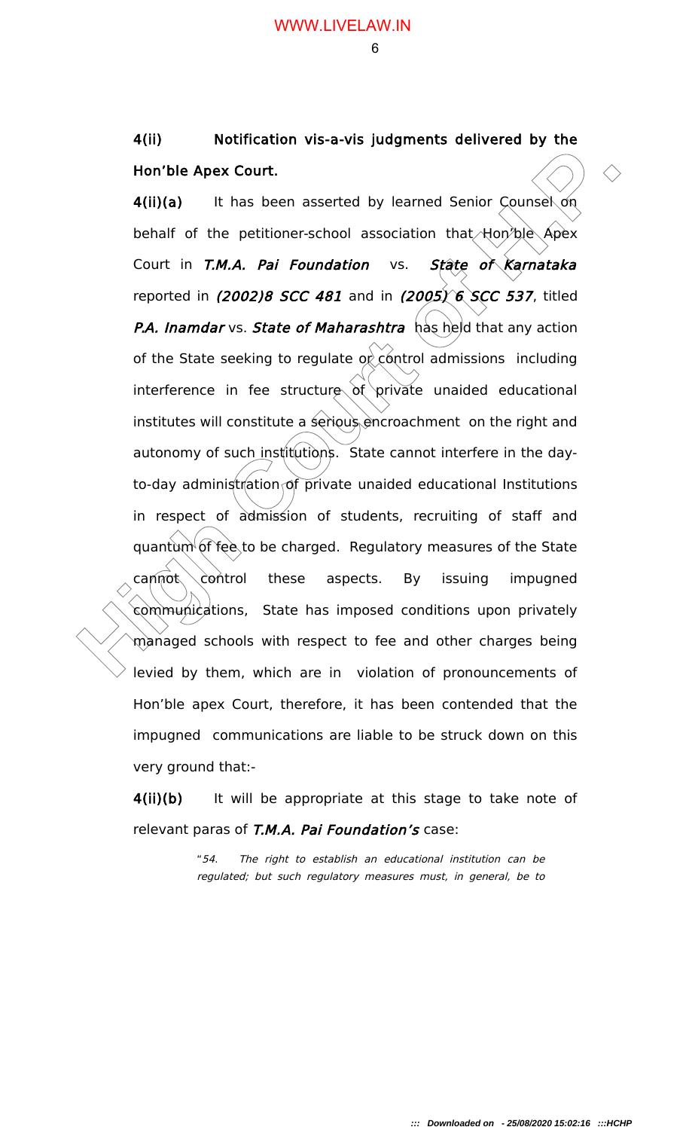6

4(ii) Notification vis-a-vis judgments delivered by the Hon'ble Apex Court.

**Hon'ble Apex Court.**<br> **A** (ii)(a) it has been asserted by learned Senior Counsel on<br>
behalf of the petitioner-school association that Hon'ble Apex<br>
Court in T.M.A. Pal Foundation vs. State of Kamataka<br>
reported in (2002)8  $4(ii)(a)$  It has been asserted by learned Senior Counsel on behalf of the petitioner-school association that Hon'ble Apex Court in T.M.A. Pai Foundation vs. State of Karnataka reported in  $(2002)8$  SCC 481 and in  $(2005)$  6 SCC 537, titled P.A. Inamdar vs. State of Maharashtra has held that any action of the State seeking to regulate  $\phi$  control admissions including interference in fee structure of private unaided educational institutes will constitute a serious encroachment on the right and autonomy of such institutions. State cannot interfere in the dayto-day administration of private unaided educational Institutions in respect of admission of students, recruiting of staff and quantum of fee to be charged. Regulatory measures of the State  $c$ annot control these aspects. By issuing impugned communications, State has imposed conditions upon privately managed schools with respect to fee and other charges being levied by them, which are in violation of pronouncements of Hon'ble apex Court, therefore, it has been contended that the impugned communications are liable to be struck down on this very ground that:-

> $4(ii)(b)$  It will be appropriate at this stage to take note of relevant paras of T.M.A. Pai Foundation's case:

> > "54. The right to establish an educational institution can be regulated; but such regulatory measures must, in general, be to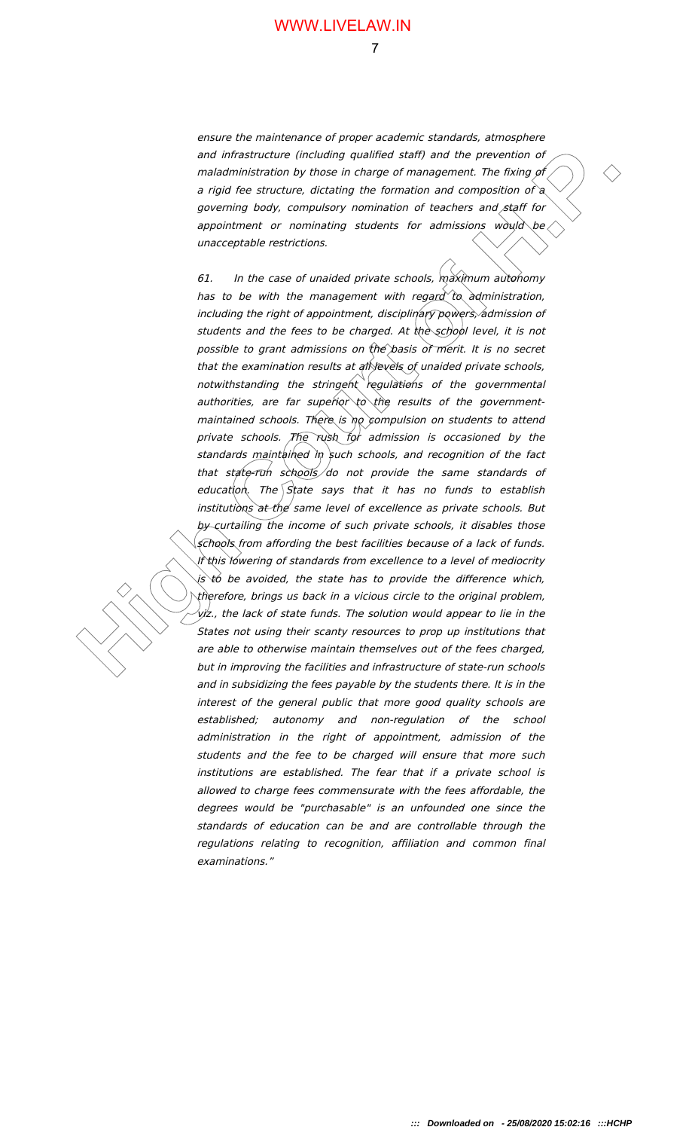ensure the maintenance of proper academic standards, atmosphere and infrastructure (including qualified staff) and the prevention of maladministration by those in charge of management. The fixing of a rigid fee structure, dictating the formation and composition of a governing body, compulsory nomination of teachers and/staff for appointment or nominating students for admissions would be unacceptable restrictions.

7

and infrastructure (including qualities of the prevention of  $f(x)$  and the prevention of the securities and instantant  $\alpha f(x)$  and  $\alpha f(x)$  and  $\alpha f(x)$  and  $\alpha f(x)$  and  $\alpha f(x)$  convenience  $\alpha f(x)$  convenience  $\alpha f(x)$  conven 61. In the case of unaided private schools,  $m\alpha\chi$ imum autonomy has to be with the management with regard to administration, including the right of appointment, disciplinary powers, admission of students and the fees to be charged. At the school level, it is not possible to grant admissions on the basis of merit. It is no secret that the examination results at all levels of unaided private schools, notwithstanding the stringent regulations of the governmental authorities, are far superior to the results of the governmentmaintained schools. There is no compulsion on students to attend private schools. The rush for admission is occasioned by the standards maintained in such schools, and recognition of the fact that state-run schools do not provide the same standards of education. The  $\frac{1}{\sqrt{2}}$  state says that it has no funds to establish institutions at the same level of excellence as private schools. But by curtailing the income of such private schools, it disables those schools from affording the best facilities because of a lack of funds. If this lowering of standards from excellence to a level of mediocrity  $i$ s to be avoided, the state has to provide the difference which, therefore, brings us back in a vicious circle to the original problem,  $\sqrt{v}$ , the lack of state funds. The solution would appear to lie in the States not using their scanty resources to prop up institutions that are able to otherwise maintain themselves out of the fees charged, but in improving the facilities and infrastructure of state-run schools and in subsidizing the fees payable by the students there. It is in the interest of the general public that more good quality schools are established; autonomy and non-regulation of the school administration in the right of appointment, admission of the students and the fee to be charged will ensure that more such institutions are established. The fear that if <sup>a</sup> private school is allowed to charge fees commensurate with the fees affordable, the degrees would be "purchasable" is an unfounded one since the standards of education can be and are controllable through the regulations relating to recognition, affiliation and common final examinations."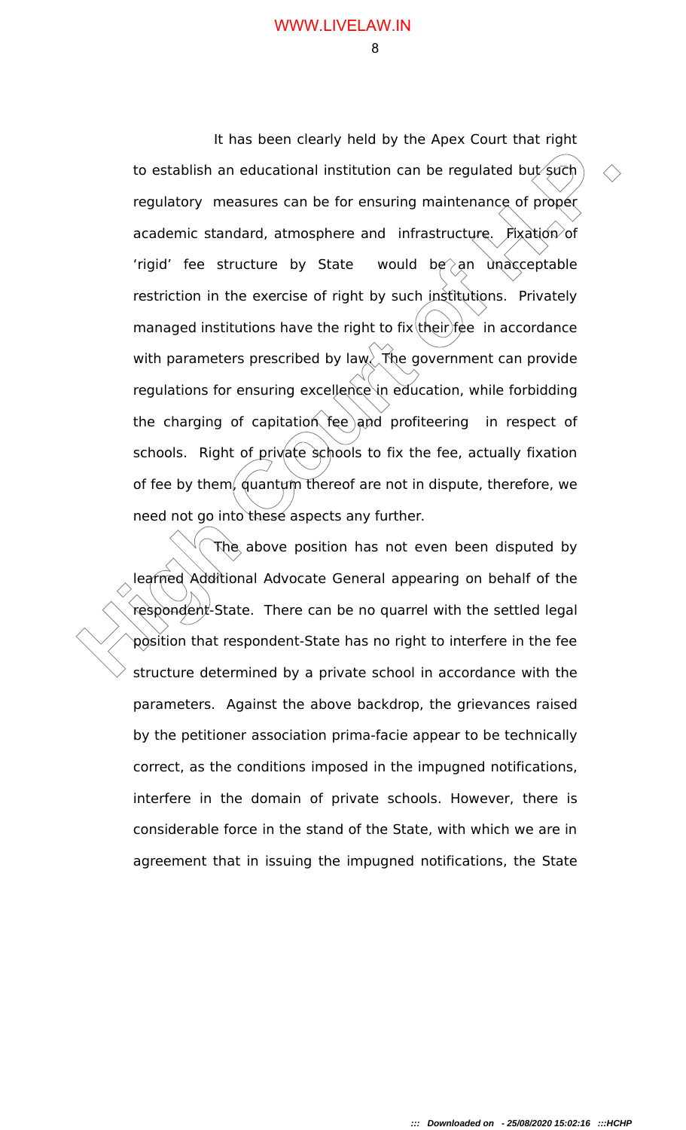8

to establish an educational institution can be regulated but such<br>regulatory measures can be for ensuring maintenance of proper<br>academic standard, atmosphere and infrastructure. Pixation of<br>rigid' fee structure by State wo It has been clearly held by the Apex Court that right to establish an educational institution can be regulated but  $s$ uch regulatory measures can be for ensuring maintenance of proper academic standard, atmosphere and infrastructure.  $\hat{F}$ ixation of 'rigid' fee structure by State would be an unacceptable restriction in the exercise of right by such institutions. Privately managed institutions have the right to fix their fee in accordance with parameters prescribed by law. The government can provide regulations for ensuring excellence in education, while forbidding the charging of capitation fee and profiteering in respect of schools. Right of private schools to fix the fee, actually fixation of fee by them, quantum thereof are not in dispute, therefore, we need not go into these aspects any further.

The above position has not even been disputed by learned Additional Advocate General appearing on behalf of the respondent-State. There can be no quarrel with the settled legal position that respondent-State has no right to interfere in the fee structure determined by a private school in accordance with the parameters. Against the above backdrop, the grievances raised by the petitioner association prima-facie appear to be technically correct, as the conditions imposed in the impugned notifications, interfere in the domain of private schools. However, there is considerable force in the stand of the State, with which we are in agreement that in issuing the impugned notifications, the State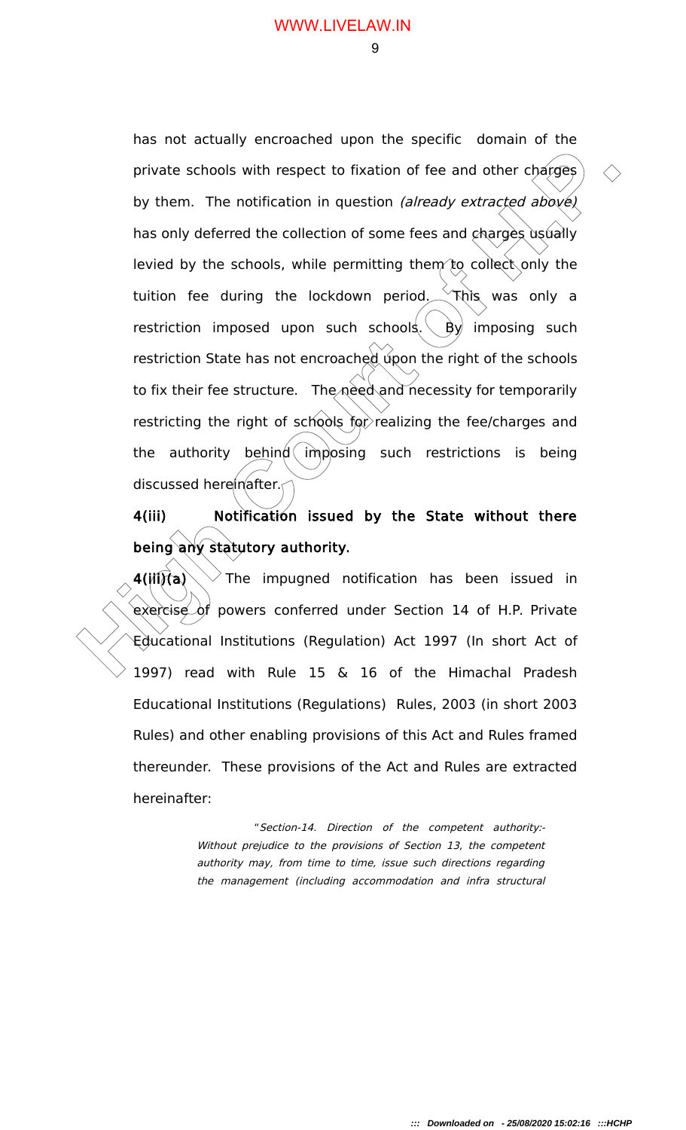private schools with respect to fixation of fee and other charges  $\Diamond$ <br>by them. The notification in question (*already extracted above)*<br>has only deferred the collection of some fees and charges usually<br>levied by the scho has not actually encroached upon the specific domain of the private schools with respect to fixation of fee and other charges by them. The notification in question (already extracted above) has only deferred the collection of some fees and charges usually levied by the schools, while permitting them to collect only the tuition fee during the lockdown period. This was only a restriction imposed upon such schools.  $\Diamond$  By imposing such restriction State has not encroached upon the right of the schools to fix their fee structure. The need and necessity for temporarily restricting the right of schools for realizing the fee/charges and the authority behind imposing such restrictions is being discussed hereinafter.

4(iii) Notification issued by the State without there being any statutory authority.

 $4(iii)(a) \vee \vee$  The impugned notification has been issued in exercise of powers conferred under Section 14 of H.P. Private Educational Institutions (Regulation) Act 1997 (In short Act of 1997) read with Rule 15 & 16 of the Himachal Pradesh Educational Institutions (Regulations) Rules, 2003 (in short 2003 Rules) and other enabling provisions of this Act and Rules framed thereunder. These provisions of the Act and Rules are extracted hereinafter:

> "Section-14. Direction of the competent authority:- Without prejudice to the provisions of Section 13, the competent authority may, from time to time, issue such directions regarding the management (including accommodation and infra structural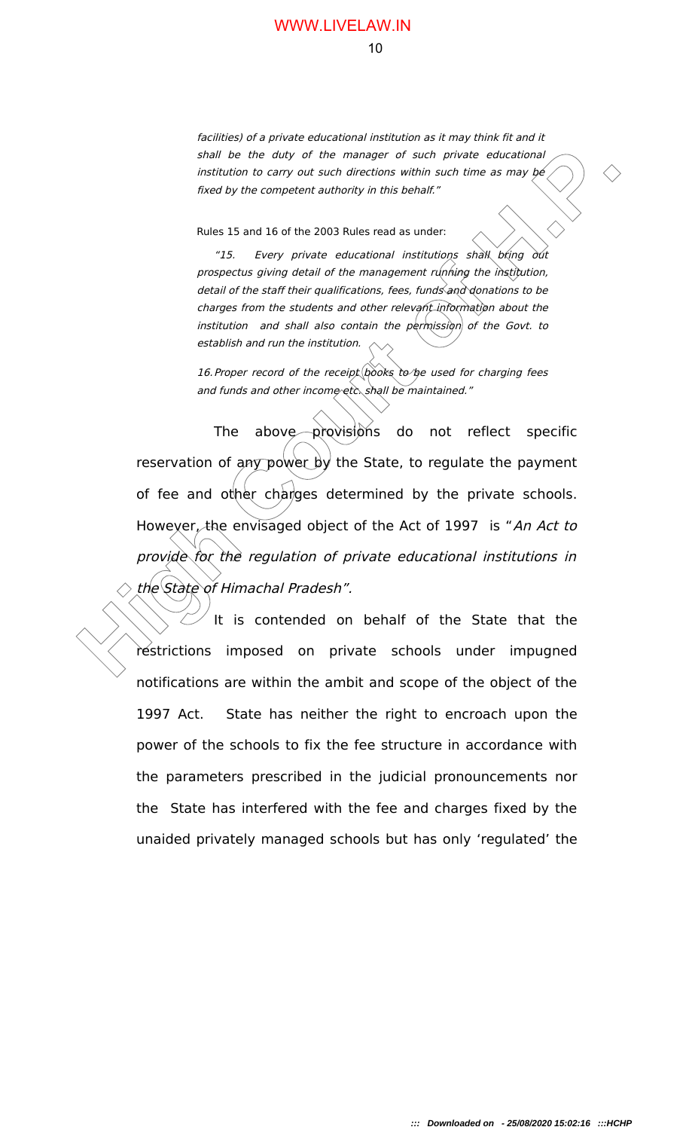10

facilities) of a private educational institution as it may think fit and it shall be the duty of the manager of such private educational institution to carry out such directions within such time as may be fixed by the competent authority in this behalf."

Rules 15 and 16 of the 2003 Rules read as under:

"15. Every private educational institutions shall bring out prospectus giving detail of the management running the institution, detail of the staff their qualifications, fees, funds and donations to be charges from the students and other relevant information about the institution and shall also contain the permission of the Govt. to establish and run the institution.

16. Proper record of the receipt books to be used for charging fees and funds and other income etc. shall be maintained."

**Shill be the diversion of the manager of such private educations**<br>  *Institution to carry out such directions within such sime as may be***<br>** *fixed by the competent authority in this behalt.***<br>
<b>Rules 15 and 16 of the 2003** The above provisions do not reflect specific reservation of any power by the State, to regulate the payment of fee and other charges determined by the private schools. However, the envisaged object of the Act of 1997 is "An Act to provide for the regulation of private educational institutions in the State of Himachal Pradesh".

It is contended on behalf of the State that the restrictions imposed on private schools under impugned notifications are within the ambit and scope of the object of the 1997 Act. State has neither the right to encroach upon the power of the schools to fix the fee structure in accordance with the parameters prescribed in the judicial pronouncements nor the State has interfered with the fee and charges fixed by the unaided privately managed schools but has only 'regulated' the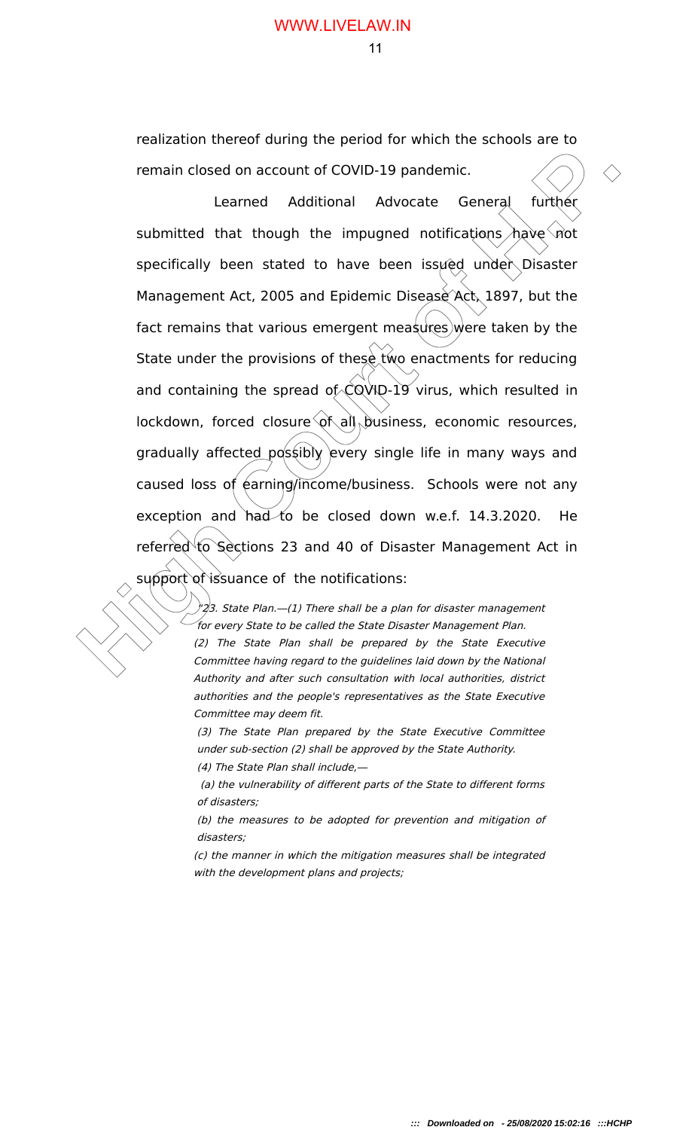realization thereof during the period for which the schools are to remain closed on account of COVID-19 pandemic.

remain closed on account of COVID-19 pandemic.<br>
Learned Additional Advocate General further<br>
submitted that though the impugned notifications have not<br>
specifically been stated to have been issued under Disaster<br>
Manageme Learned Additional Advocate General further submitted that though the impugned notifications have not specifically been stated to have been issued under Disaster Management Act, 2005 and Epidemic Disease Act, 1897, but the fact remains that various emergent measures) were taken by the State under the provisions of these two enactments for reducing and containing the spread of  $\text{CQWD-19}$  virus, which resulted in lockdown, forced closure  $\varphi$ f all business, economic resources, gradually affected possibly every single life in many ways and caused loss of earning/income/business. Schools were not any exception and had to be closed down w.e.f. 14.3.2020. He referred to Sections 23 and 40 of Disaster Management Act in support of issuance of the notifications:

 $\sqrt{2}$ 3. State Plan.—(1) There shall be a plan for disaster management for every State to be called the State Disaster Management Plan.

(2) The State Plan shall be prepared by the State Executive Committee having regard to the guidelines laid down by the National Authority and after such consultation with local authorities, district authorities and the people's representatives as the State Executive Committee may deem fit.

(3) The State Plan prepared by the State Executive Committee under sub-section (2) shall be approved by the State Authority. (4) The State Plan shall include,—

 (a) the vulnerability of different parts of the State to different forms of disasters;

(b) the measures to be adopted for prevention and mitigation of disasters;

(c) the manner in which the mitigation measures shall be integrated with the development plans and projects;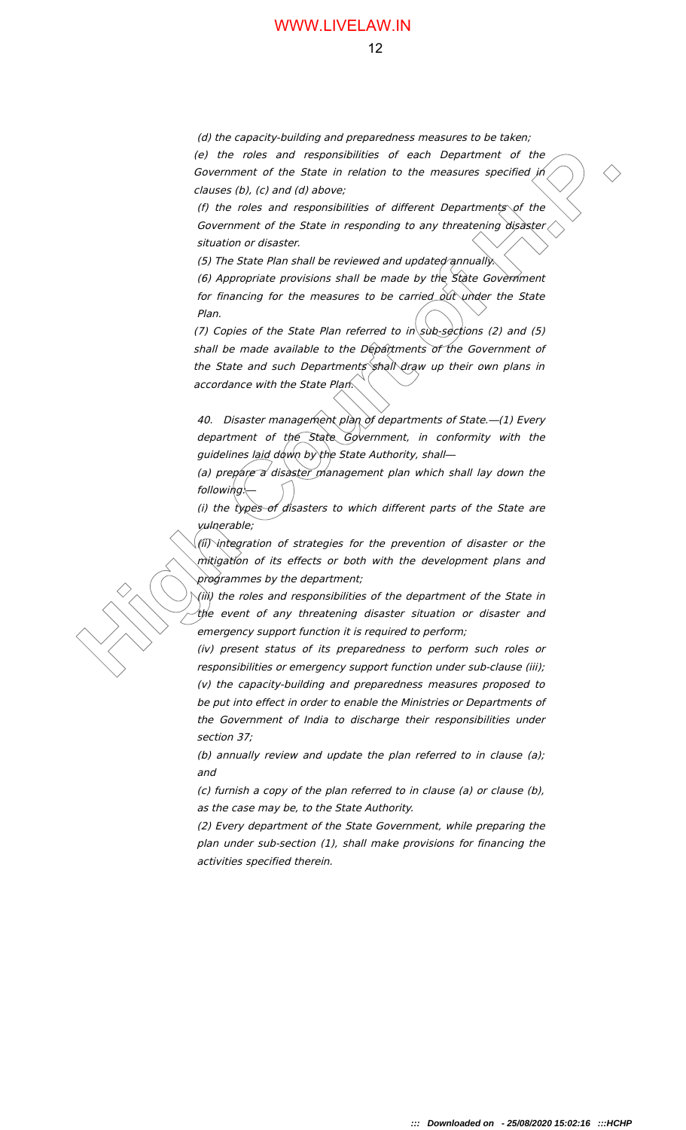(d) the capacity-building and preparedness measures to be taken; (e) the roles and responsibilities of each Department of the Government of the State in relation to the measures specified in clauses (b), (c) and (d) above;

(f) the roles and responsibilities of different Departments of the Government of the State in responding to any threatening disaster situation or disaster.

(5) The State Plan shall be reviewed and updated annually.

(6) Appropriate provisions shall be made by the State Government for financing for the measures to be carried out under the State Plan.

(7) Copies of the State Plan referred to in sub-sections (2) and (5) shall be made available to the Departments of the Government of the State and such Departments shall draw up their own plans in accordance with the State Plan.

40. Disaster management plan of departments of State.-(1) Every department of the State Government, in conformity with the guidelines laid down by the State Authority, shall-

(a) prepare a disaster management plan which shall lay down the following.

(i) the types of disasters to which different parts of the State are vulnerable;

(ii) integration of strategies for the prevention of disaster or the mitigation of its effects or both with the development plans and programmes by the department;

 $\langle$ i $\rangle$ ) the roles and responsibilities of the department of the State in  $\ell$ the event of any threatening disaster situation or disaster and emergency support function it is required to perform;

(a) the critics and responsibilities of each research in the  $\alpha$  court of the State in enhancement of the State in enhancement of the measures specified in Court of the critics and responsibilities of different Departmen (iv) present status of its preparedness to perform such roles or responsibilities or emergency support function under sub-clause (iii); (v) the capacity-building and preparedness measures proposed to be put into effect in order to enable the Ministries or Departments of the Government of India to discharge their responsibilities under section 37;

> (b) annually review and update the plan referred to in clause (a); and

> (c) furnish a copy of the plan referred to in clause (a) or clause (b), as the case may be, to the State Authority.

> (2) Every department of the State Government, while preparing the plan under sub-section (1), shall make provisions for financing the activities specified therein.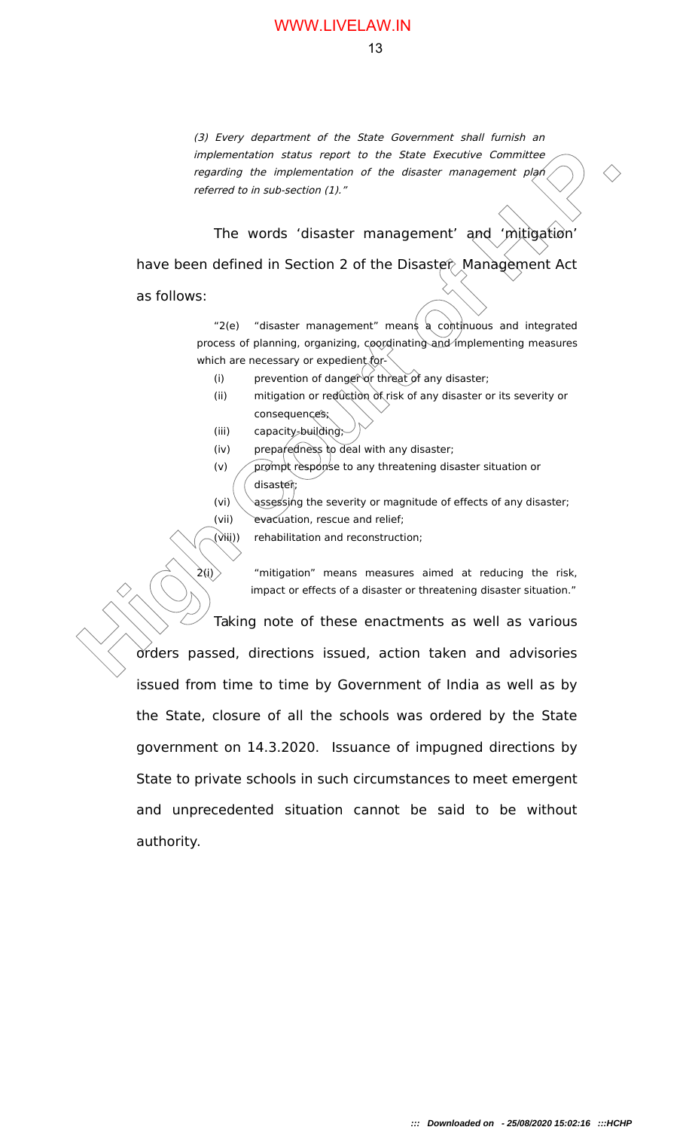(3) Every department of the State Government shall furnish an implementation status report to the State Executive Committee regarding the implementation of the disaster management plan referred to in sub-section (1)."

The words 'disaster management' and 'mitigation' have been defined in Section 2 of the Disaster Management Act as follows:

> "2(e) "disaster management" means a continuous and integrated process of planning, organizing, coordinating and implementing measures which are necessary or expedient for-

- (i) prevention of danger or threat of any disaster;
- (ii) mitigation or reduction of risk of any disaster or its severity or consequences;
- (iii) capacity-building;
- (iv) preparedness to deal with any disaster;
- (v) prompt response to any threatening disaster situation or disaster;
- (vi)  $\setminus$  assessing the severity or magnitude of effects of any disaster;
- (vii) evacuation, rescue and relief;
- (viii)) rehabilitation and reconstruction;

 $\hat{Z}(i)$  "mitigation" means measures aimed at reducing the risk, impact or effects of a disaster or threatening disaster situation."

*implementation status report to the State Executive Committee<br> High Court of the Court of the distance management plants<br> <i> High Court of the distance management plants***<br>
<b>11.** The words 'distaster management' and 'mit Taking note of these enactments as well as various orders passed, directions issued, action taken and advisories issued from time to time by Government of India as well as by the State, closure of all the schools was ordered by the State government on 14.3.2020. Issuance of impugned directions by State to private schools in such circumstances to meet emergent and unprecedented situation cannot be said to be without authority.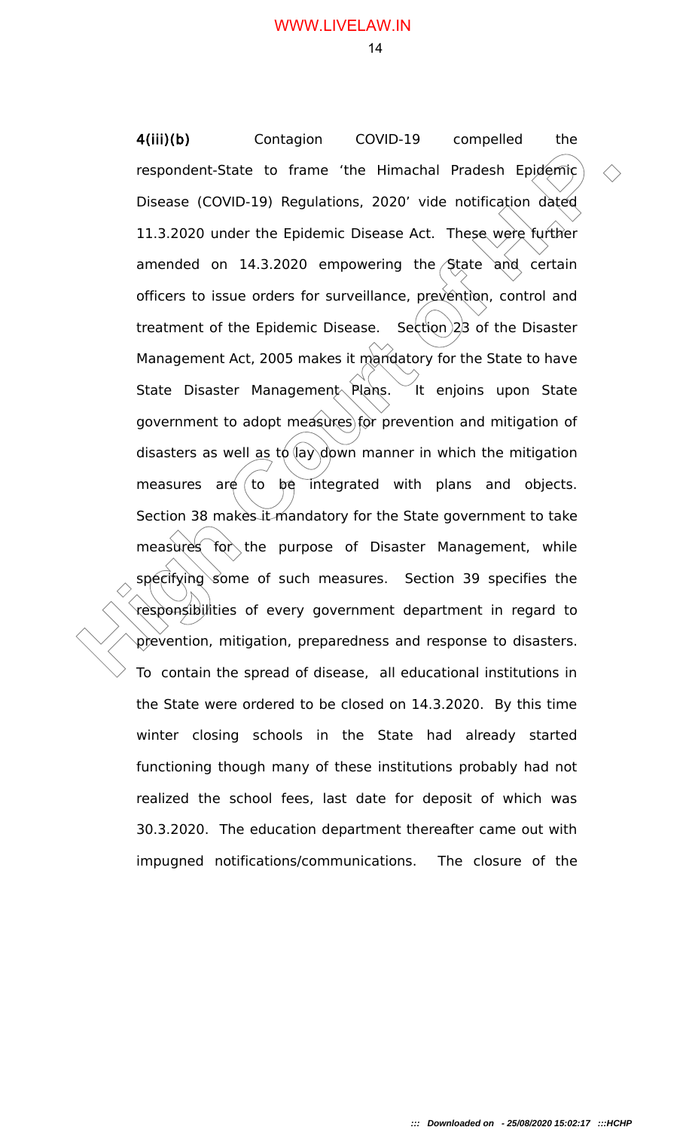respondent-State to frame 'the Himachal Pradesh Epidemic<br>
Disease (COVID-19) Regulations, 2020' vide notification dated<br>
11.3.2020 under the Epidemic Disease Act. These were further<br>
amended on 14.3.2020 empowering the Sta 4(iii)(b) Contagion COVID-19 compelled the respondent-State to frame 'the Himachal Pradesh Epidemic Disease (COVID-19) Regulations, 2020' vide notification dated 11.3.2020 under the Epidemic Disease Act. These were further amended on  $14.3.2020$  empowering the State and certain officers to issue orders for surveillance, prevention, control and treatment of the Epidemic Disease. Section  $23$  of the Disaster Management Act, 2005 makes it mandatory for the State to have State Disaster Management Plans. It enjoins upon State government to adopt measures) for prevention and mitigation of disasters as well as to lay down manner in which the mitigation measures are to be integrated with plans and objects. Section 38 makes it mandatory for the State government to take measures for the purpose of Disaster Management, while specifying some of such measures. Section 39 specifies the responsibilities of every government department in regard to prevention, mitigation, preparedness and response to disasters. To contain the spread of disease, all educational institutions in the State were ordered to be closed on 14.3.2020. By this time winter closing schools in the State had already started functioning though many of these institutions probably had not realized the school fees, last date for deposit of which was 30.3.2020. The education department thereafter came out with impugned notifications/communications. The closure of the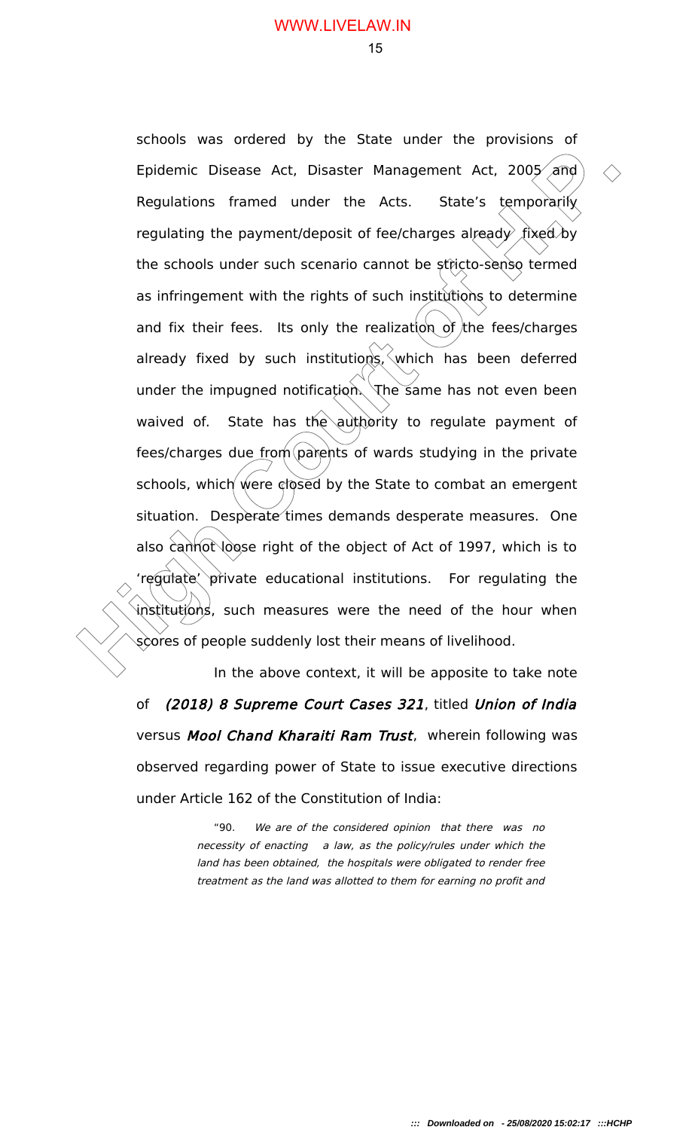15

Epidemic Disease Act, Disaster Management Act, 2005 and<br>
Regulations framed under the Acts. State's temporarily<br>
regulating the payment/deposit of fee/charges already fixed by<br>
the schools under such scenario cannot be st schools was ordered by the State under the provisions of Epidemic Disease Act, Disaster Management Act, 2005 and Regulations framed under the Acts. State's temporarily regulating the payment/deposit of fee/charges already  $\hat{x}$  fixed by the schools under such scenario cannot be stricto-senso termed as infringement with the rights of such institutions to determine and fix their fees. Its only the realization of the fees/charges already fixed by such institutions,  $\cos \theta$  hich has been deferred under the impugned notification. The same has not even been waived of. State has the authority to regulate payment of fees/charges due from parents of wards studying in the private schools, which were closed by the State to combat an emergent situation. Desperate times demands desperate measures. One also cannot loose right of the object of Act of 1997, which is to 'regulate' private educational institutions. For regulating the institutions, such measures were the need of the hour when scores of people suddenly lost their means of livelihood.

In the above context, it will be apposite to take note of (2018) 8 Supreme Court Cases 321, titled Union of India versus Mool Chand Kharaiti Ram Trust, wherein following was observed regarding power of State to issue executive directions under Article 162 of the Constitution of India:

> "90. We are of the considered opinion that there was no necessity of enacting a law, as the policy/rules under which the land has been obtained, the hospitals were obligated to render free treatment as the land was allotted to them for earning no profit and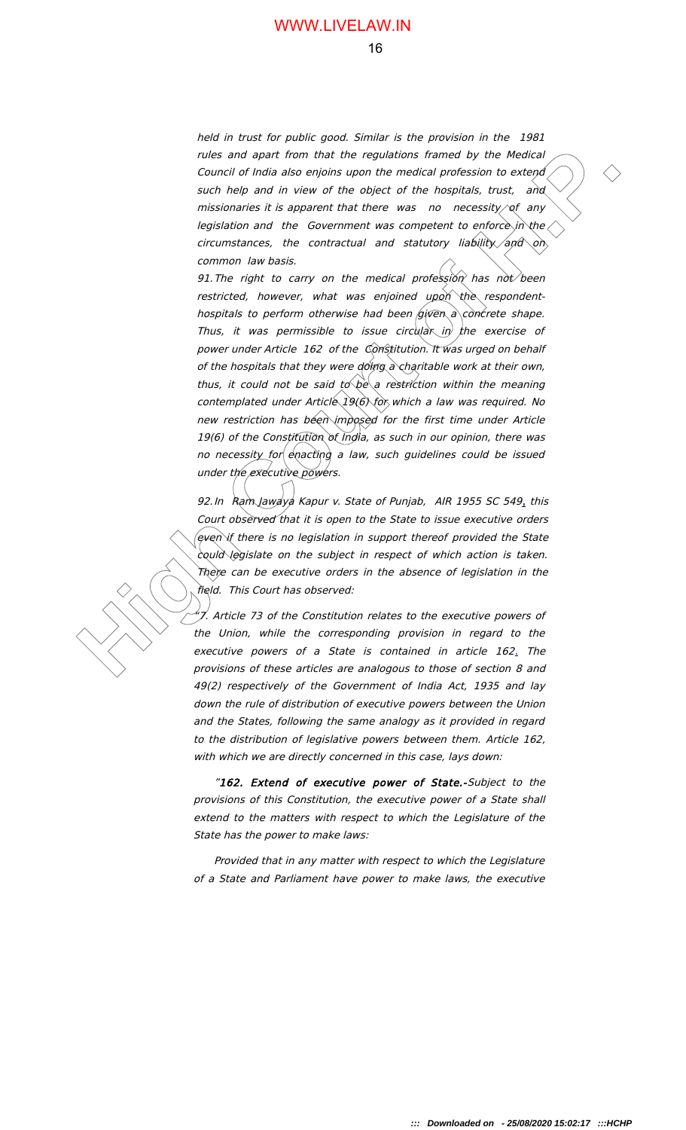16

held in trust for public good. Similar is the provision in the 1981 rules and apart from that the regulations framed by the Medical Council of India also enjoins upon the medical profession to extend such help and in view of the object of the hospitals, trust, and missionaries it is apparent that there was no necessity  $\circ$ of any legislation and the Government was competent to enforce in the circumstances, the contractual and statutory liability and on common law basis.

From that from that the regulations framed by the Nederlay Court of the analysis control of the dial of the spectral control of the spectral control of the spectral control of the control of the control of the control of 91. The right to carry on the medical profession has not been restricted, however, what was enjoined upon the respondenthospitals to perform otherwise had been  $g\psi$ en a concrete shape. Thus, it was permissible to issue circular in the exercise of power under Article 162 of the Constitution. It was urged on behalf of the hospitals that they were doing a charitable work at their own, thus, it could not be said to be a restriction within the meaning contemplated under Article 19(6) for which a law was required. No new restriction has been imposed for the first time under Article 19(6) of the Constitution of India, as such in our opinion, there was no necessity for enacting a law, such guidelines could be issued under the executive powers.

92. In Ram Jawaya Kapur v. State of Punjab, AIR 1955 SC 549, this Court observed that it is open to the State to issue executive orders even if there is no legislation in support thereof provided the State could legislate on the subject in respect of which action is taken. There can be executive orders in the absence of legislation in the field. This Court has observed:

 $\mathbb Z$  Article 73 of the Constitution relates to the executive powers of the Union, while the corresponding provision in regard to the executive powers of a State is contained in article 162. The provisions of these articles are analogous to those of section 8 and 49(2) respectively of the Government of India Act, 1935 and lay down the rule of distribution of executive powers between the Union and the States, following the same analogy as it provided in regard to the distribution of legislative powers between them. Article 162, with which we are directly concerned in this case, lays down:

"162. Extend of executive power of State.-Subject to the provisions of this Constitution, the executive power of a State shall extend to the matters with respect to which the Legislature of the State has the power to make laws:

Provided that in any matter with respect to which the Legislature of a State and Parliament have power to make laws, the executive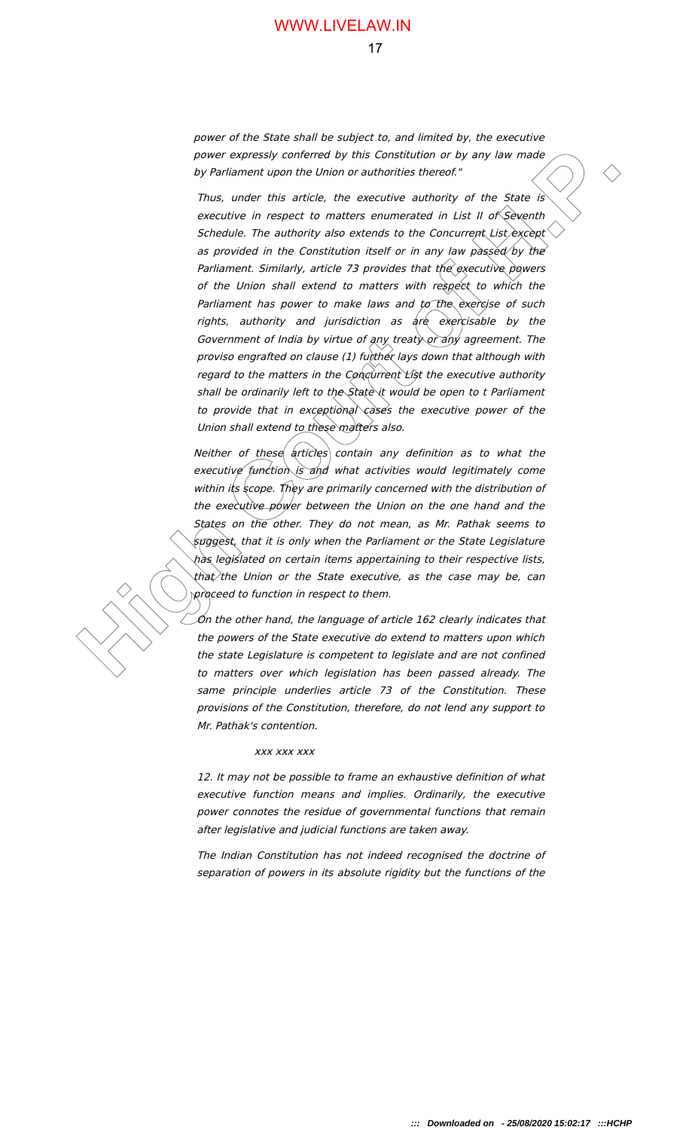power of the State shall be subject to, and limited by, the executive power expressly conferred by this Constitution or by any law made by Parliament upon the Union or authorities thereof."

power expressly conferred by this Constitution or by any law made<br>
by parametar upon the buno or earliering therefore.<br>
Thus, under this article, the executive surforing of the State is<br>
Decedive in respect to matter to ma Thus, under this article, the executive authority of the State is executive in respect to matters enumerated in List II of Seventh Schedule. The authority also extends to the Concurrent List/except as provided in the Constitution itself or in any law passed by the Parliament. Similarly, article 73 provides that the executive powers of the Union shall extend to matters with respect to which the Parliament has power to make laws and to the exercise of such rights, authority and jurisdiction as are exercisable by the Government of India by virtue of any treaty or any agreement. The proviso engrafted on clause (1) further lays down that although with regard to the matters in the Concurrent List the executive authority shall be ordinarily left to the State it would be open to t Parliament to provide that in exceptional cases the executive power of the Union shall extend to these matters also.

Neither of these articles contain any definition as to what the executive function is and what activities would legitimately come within its scope. They are primarily concerned with the distribution of the executive power between the Union on the one hand and the States on the other. They do not mean, as Mr. Pathak seems to suggest, that it is only when the Parliament or the State Legislature has legislated on certain items appertaining to their respective lists, that the Union or the State executive, as the case may be, can proceed to function in respect to them.

On the other hand, the language of article 162 clearly indicates that the powers of the State executive do extend to matters upon which the state Legislature is competent to legislate and are not confined to matters over which legislation has been passed already. The same principle underlies article 73 of the Constitution. These provisions of the Constitution, therefore, do not lend any support to Mr. Pathak's contention.

#### xxx xxx xxx

12. It may not be possible to frame an exhaustive definition of what executive function means and implies. Ordinarily, the executive power connotes the residue of governmental functions that remain after legislative and judicial functions are taken away.

The Indian Constitution has not indeed recognised the doctrine of separation of powers in its absolute rigidity but the functions of the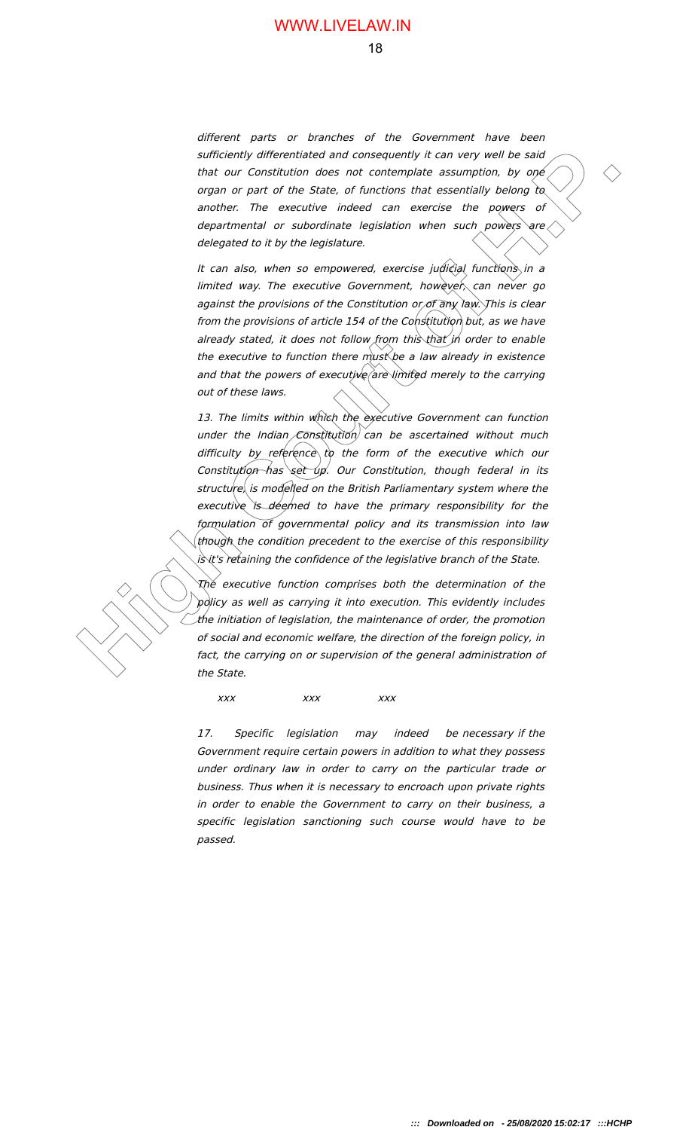18

different parts or branches of the Government have been sufficiently differentiated and consequently it can very well be said that our Constitution does not contemplate assumption, by one organ or part of the State, of functions that essentially belong to another. The executive indeed can exercise the powers of departmental or subordinate legislation when such powers are delegated to it by the legislature.

It can also, when so empowered, exercise judicial functions in a limited way. The executive Government, however, can never go against the provisions of the Constitution or of any law. This is clear from the provisions of article 154 of the Constitution but, as we have already stated, it does not follow from this that in order to enable the executive to function there must be a law already in existence and that the powers of executive are limited merely to the carrying out of these laws.

solutionly differentiated and consequently it can very well be said of the since the state of the state. As one of the state of the content of the content of the state of the content of the state of the content of the sta 13. The limits within which the executive Government can function under the Indian Constitution can be ascertained without much difficulty by reference to the form of the executive which our Constitution has set up. Our Constitution, though federal in its structure, is modelled on the British Parliamentary system where the executive is deemed to have the primary responsibility for the formulation of governmental policy and its transmission into law though the condition precedent to the exercise of this responsibility is it's retaining the confidence of the legislative branch of the State.

The executive function comprises both the determination of the policy as well as carrying it into execution. This evidently includes the initiation of legislation, the maintenance of order, the promotion of social and economic welfare, the direction of the foreign policy, in fact, the carrying on or supervision of the general administration of the State.

xxx xxx xxx

17. Specific legislation may indeed be necessary if the Government require certain powers in addition to what they possess under ordinary law in order to carry on the particular trade or business. Thus when it is necessary to encroach upon private rights in order to enable the Government to carry on their business, a specific legislation sanctioning such course would have to be passed.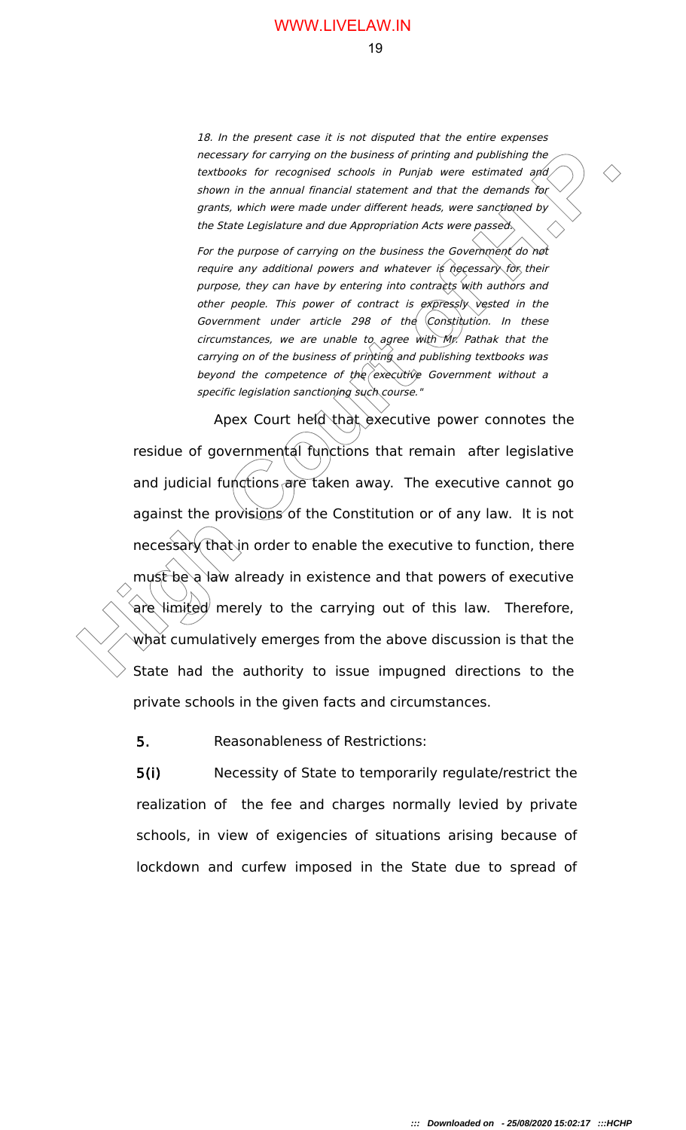18. In the present case it is not disputed that the entire expenses necessary for carrying on the business of printing and publishing the textbooks for recognised schools in Punjab were estimated and shown in the annual financial statement and that the demands for grants, which were made under different heads, were sanctioned by the State Legislature and due Appropriation Acts were passed.

For the purpose of carrying on the business the Government do not require any additional powers and whatever is necessary for their purpose, they can have by entering into contracts with authors and other people. This power of contract is expressly vested in the Government under article 298 of the Constitution. In these circumstances, we are unable to agree with Mr. Pathak that the carrying on of the business of printing and publishing textbooks was beyond the competence of the executive Government without a specific legislation sanctioning such course."

*necessary for carrying on the business of printing and publishing the*<br> *restands for recognined schools in Punjab were estimated and<br>
storm in the amual financial statement and that the demands how<br>
proxis, which were mo* Apex Court held that executive power connotes the residue of governmental functions that remain after legislative and judicial functions are taken away. The executive cannot go against the provisions of the Constitution or of any law. It is not necessary that in order to enable the executive to function, there must be a law already in existence and that powers of executive are limited merely to the carrying out of this law. Therefore, what cumulatively emerges from the above discussion is that the State had the authority to issue impugned directions to the private schools in the given facts and circumstances.

5. Reasonableness of Restrictions:

5(i) Necessity of State to temporarily regulate/restrict the realization of the fee and charges normally levied by private schools, in view of exigencies of situations arising because of lockdown and curfew imposed in the State due to spread of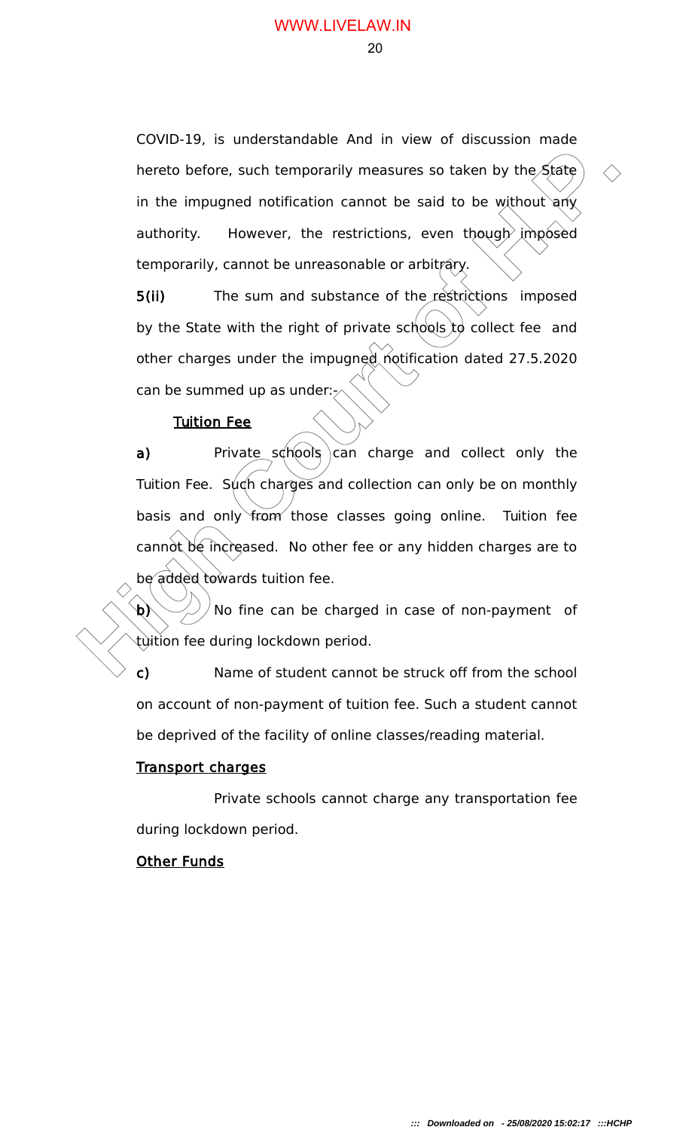COVID-19, is understandable And in view of discussion made hereto before, such temporarily measures so taken by the State in the impugned notification cannot be said to be without any authority. However, the restrictions, even though imposed temporarily, cannot be unreasonable or arbitrary.

5(ii) The sum and substance of the restrictions imposed by the State with the right of private schools  $\mathsf{t}\phi$  collect fee and other charges under the impugned notification dated 27.5.2020 can be summed up as under: $<sub>z</sub>$ </sub>

# Tuition Fee

hereto before, such temporarily measures so taken by the State<br>
in the impugned notification cannot be said to be without any<br>
authority. However, the restrictions, even though imposed<br>
temporarily, cannot be unreesonable a) Private schools can charge and collect only the Tuition Fee. Such charges and collection can only be on monthly basis and only from those classes going online. Tuition fee cannot be increased. No other fee or any hidden charges are to be added towards tuition fee.

 $\mathbf{b}$   $\gg$  /No fine can be charged in case of non-payment of tuition fee during lockdown period.

c) Name of student cannot be struck off from the school on account of non-payment of tuition fee. Such a student cannot be deprived of the facility of online classes/reading material.

## Transport charges

Private schools cannot charge any transportation fee during lockdown period.

# **Other Funds**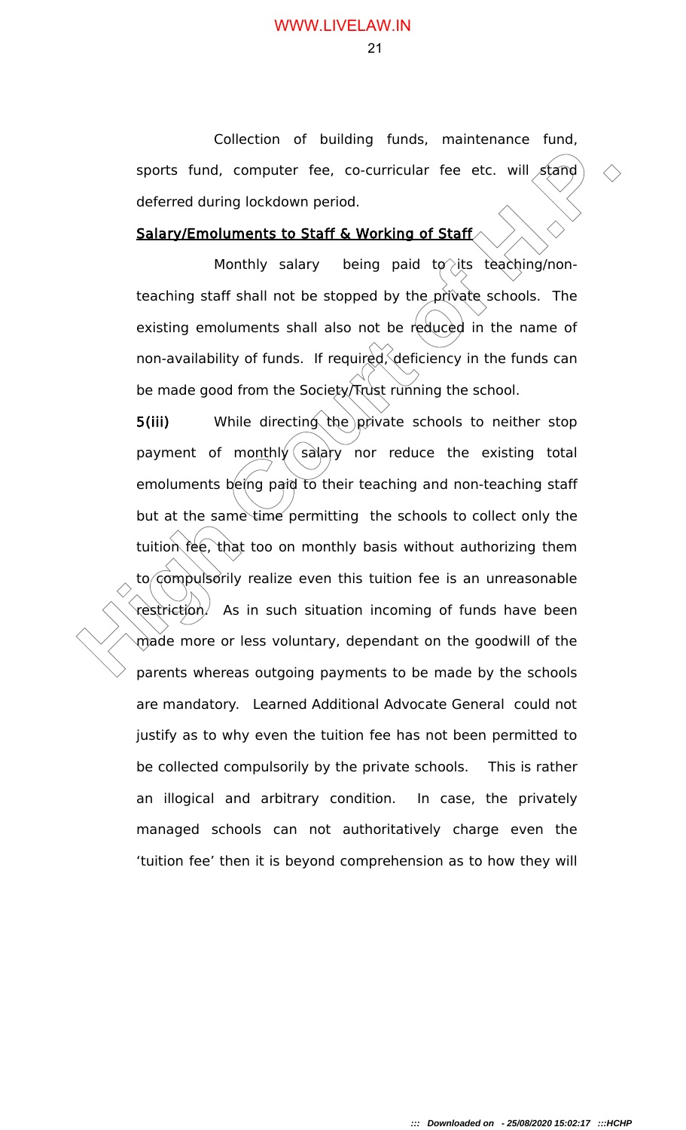21

Collection of building funds, maintenance fund, sports fund, computer fee, co-curricular fee etc. will stand deferred during lockdown period.

# Salary/Emoluments to Staff & Working of Staff

Monthly salary being paid to its teaching/nonteaching staff shall not be stopped by the private schools. The existing emoluments shall also not be reduced in the name of non-availability of funds. If required, deficiency in the funds can be made good from the Society/Trust running the school.

sports fund, computer fee, co-curricular fee etc. will, stand<br>deferred during lockdown period.<br>Salary/Emoluments to Staff & Working of Staff<br>Monthly salary being paid to its teaching/non-<br>teaching staff shall not be stoppe 5(iii) While directing the private schools to neither stop payment of monthly  $\sinh(\theta)$  nor reduce the existing total emoluments being paid to their teaching and non-teaching staff but at the same time permitting the schools to collect only the tuition fee, that too on monthly basis without authorizing them  $to$  compulsorily realize even this tuition fee is an unreasonable restriction. As in such situation incoming of funds have been made more or less voluntary, dependant on the goodwill of the parents whereas outgoing payments to be made by the schools are mandatory. Learned Additional Advocate General could not justify as to why even the tuition fee has not been permitted to be collected compulsorily by the private schools. This is rather an illogical and arbitrary condition. In case, the privately managed schools can not authoritatively charge even the 'tuition fee' then it is beyond comprehension as to how they will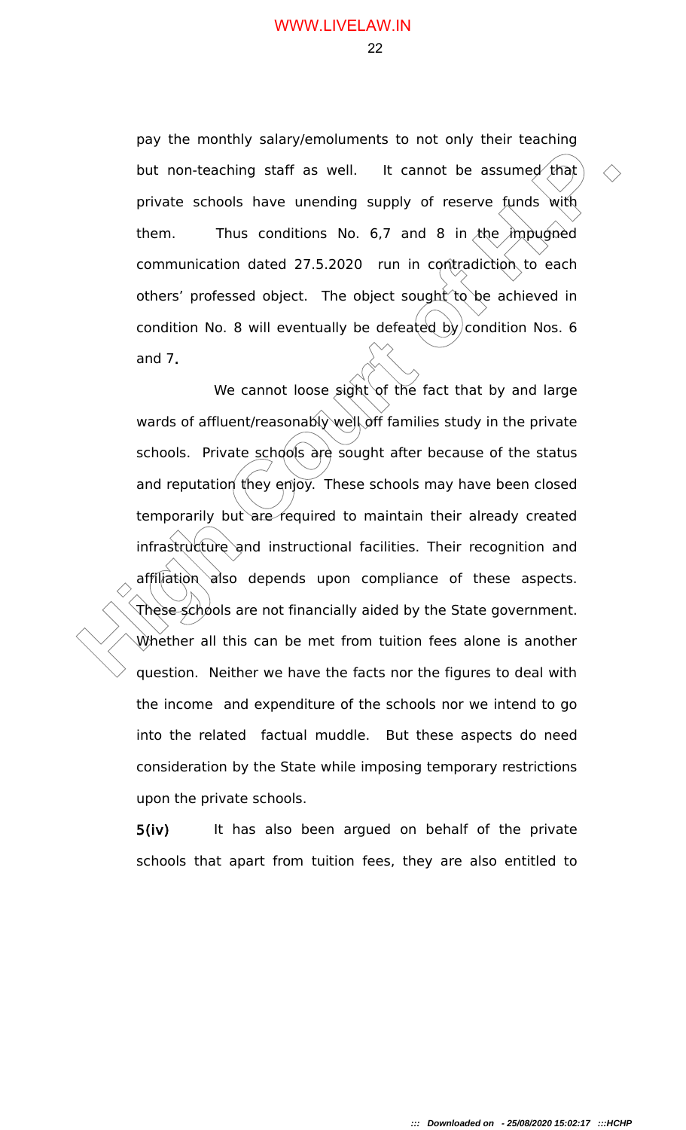pay the monthly salary/emoluments to not only their teaching but non-teaching staff as well. It cannot be assumed that private schools have unending supply of reserve funds with them. Thus conditions No. 6,7 and 8 in the impugned communication dated 27.5.2020 run in contradiction to each others' professed object. The object sought to be achieved in condition No. 8 will eventually be defeated by condition Nos. 6 and 7.

but non-teaching staff as well. It cannot be assumed that private schools have unending supply of reserve funds with them. Thus conditions No. 6,7 and 8 in the implugated communication dated 27.5.2020 run in contradiction We cannot loose sight of the fact that by and large wards of affluent/reasonably well off families study in the private schools. Private schools are sought after because of the status and reputation they enjoy. These schools may have been closed temporarily but are required to maintain their already created infrastructure and instructional facilities. Their recognition and affiliation also depends upon compliance of these aspects. These schools are not financially aided by the State government. Whether all this can be met from tuition fees alone is another question. Neither we have the facts nor the figures to deal with the income and expenditure of the schools nor we intend to go into the related factual muddle. But these aspects do need consideration by the State while imposing temporary restrictions upon the private schools.

> 5(iv) It has also been argued on behalf of the private schools that apart from tuition fees, they are also entitled to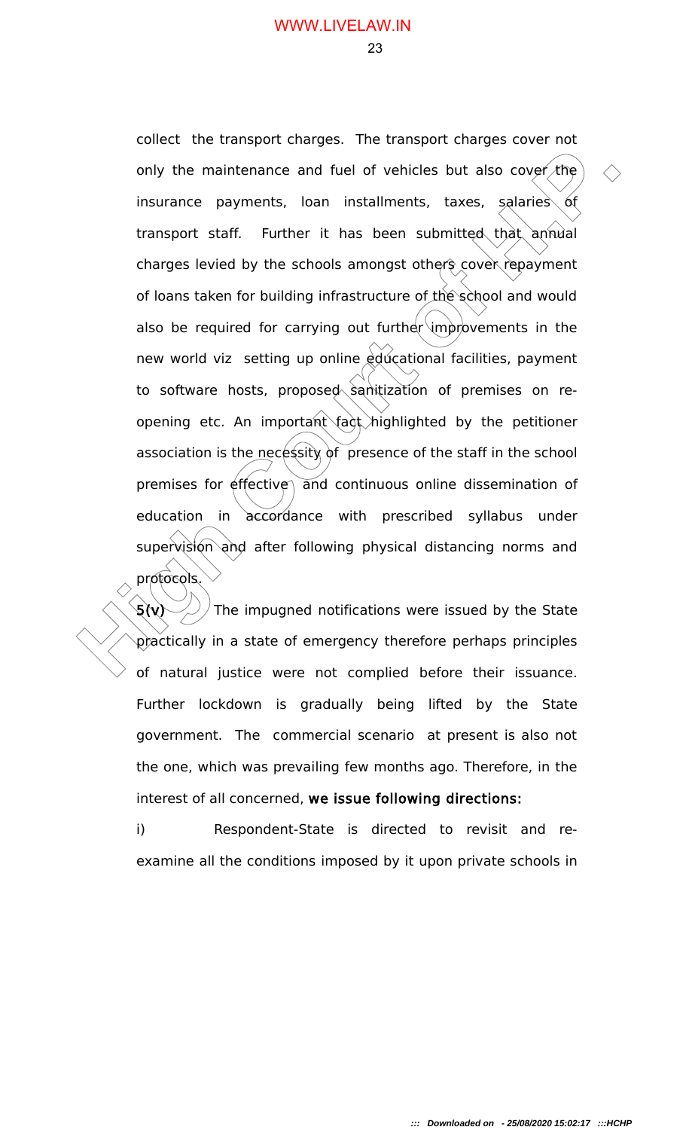only the maintenance and fuel of vehicles but also cover the insurance payments, loan installments, taxes, salaries of transport staff. Further it has been submitted that annual charges levied by the schools amongst others collect the transport charges. The transport charges cover not only the maintenance and fuel of vehicles but also cover the insurance payments, loan installments, taxes, salaries of transport staff. Further it has been submitted that annual charges levied by the schools amongst others cover repayment of loans taken for building infrastructure of the school and would also be required for carrying out further improvements in the new world viz setting up online educational facilities, payment to software hosts, proposed sanitization of premises on reopening etc. An important  $\frac{1}{\alpha}$  highlighted by the petitioner association is the necessity of presence of the staff in the school premises for effective and continuous online dissemination of education in accordance with prescribed syllabus under supervision and after following physical distancing norms and protocols.

 $\mathsf{S}(\mathsf{v})$  /The impugned notifications were issued by the State practically in a state of emergency therefore perhaps principles of natural justice were not complied before their issuance. Further lockdown is gradually being lifted by the State government. The commercial scenario at present is also not the one, which was prevailing few months ago. Therefore, in the interest of all concerned, we issue following directions:

i) Respondent-State is directed to revisit and reexamine all the conditions imposed by it upon private schools in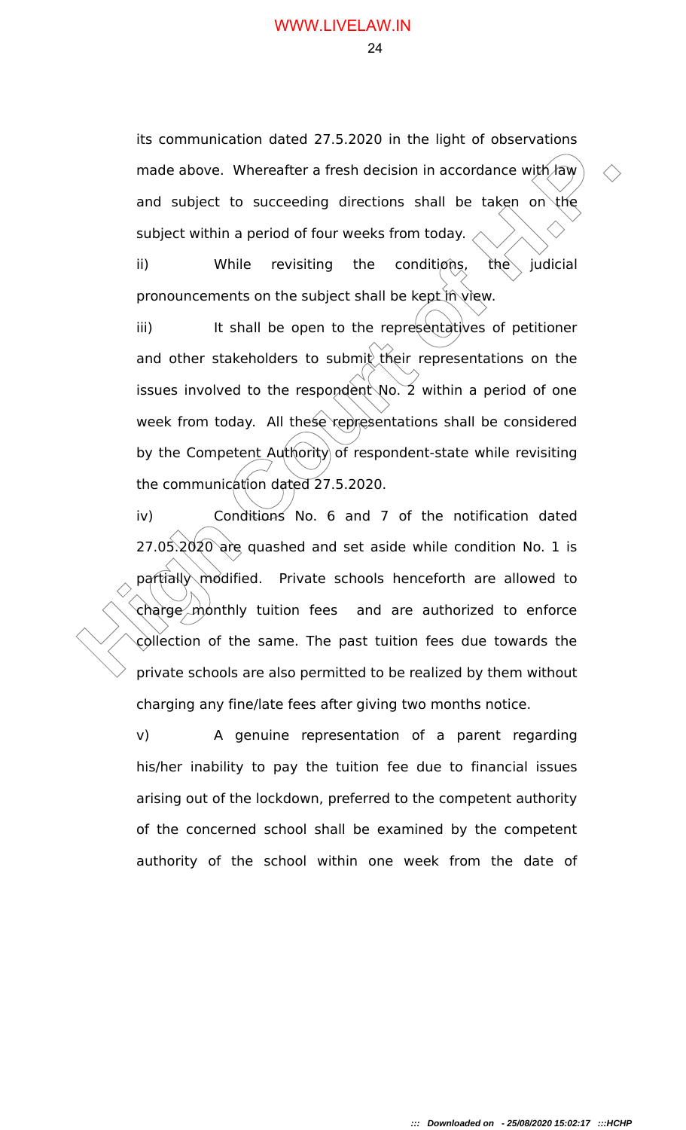its communication dated 27.5.2020 in the light of observations made above. Whereafter a fresh decision in accordance with  $\sqrt{a}w$ and subject to succeeding directions shall be taken on the subject within a period of four weeks from today.  $\angle$ 

ii) While revisiting the conditions, the judicial pronouncements on the subject shall be kept in view.

iii) It shall be open to the representatives of petitioner and other stakeholders to submit their representations on the issues involved to the respondent No. 2 within a period of one week from today. All these representations shall be considered by the Competent Authority of respondent-state while revisiting the communication dated 27.5.2020.

made above. Whereafter a fresh decision in accordance with faint<br>and subject to succeeding directions shall be taken on the<br>subject within a period of four weeks from today.<br>(ii) While revisiting the conditions. The judic iv) Conditions No. 6 and 7 of the notification dated  $27.05.2020$  are quashed and set aside while condition No. 1 is partially modified. Private schools henceforth are allowed to charge monthly tuition fees and are authorized to enforce collection of the same. The past tuition fees due towards the private schools are also permitted to be realized by them without charging any fine/late fees after giving two months notice.

v) A genuine representation of a parent regarding his/her inability to pay the tuition fee due to financial issues arising out of the lockdown, preferred to the competent authority of the concerned school shall be examined by the competent authority of the school within one week from the date of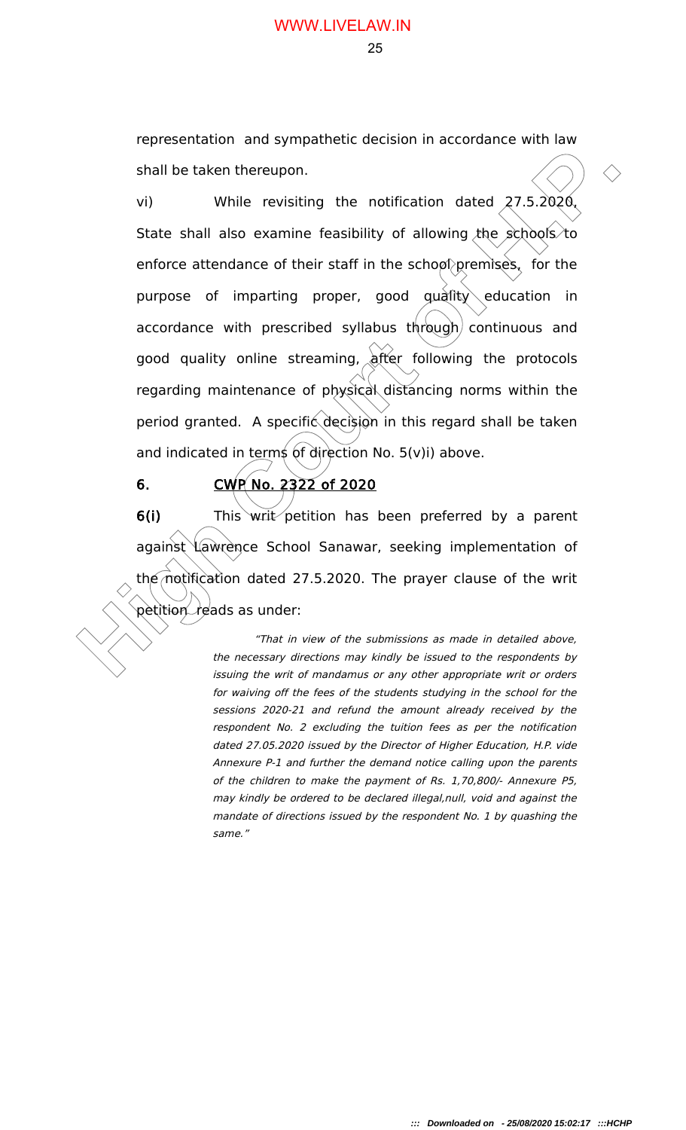representation and sympathetic decision in accordance with law shall be taken thereupon.

shall be taken thereupon.<br>
while revisiting the notification dated 27.5.2020,<br>
yill while revisiting the notification dated 27.5.2020,<br>
State shall also examine feasibility of allowing the schools to<br>
enforce attendance o vi) While revisiting the notification dated  $27.5.2020$ , State shall also examine feasibility of allowing the schools to enforce attendance of their staff in the school premises, for the purpose of imparting proper, good  $\frac{du}{dt}$  education in accordance with prescribed syllabus through continuous and good quality online streaming, after following the protocols regarding maintenance of physical distancing norms within the period granted. A specific decision in this regard shall be taken and indicated in terms of direction No.  $5(v)$ i) above.

# 6. CWP No. 2322 of 2020

6(i) This writ petition has been preferred by a parent against Lawrence School Sanawar, seeking implementation of the notification dated 27.5.2020. The prayer clause of the writ petition reads as under:

> "That in view of the submissions as made in detailed above, the necessary directions may kindly be issued to the respondents by issuing the writ of mandamus or any other appropriate writ or orders for waiving off the fees of the students studying in the school for the sessions 2020-21 and refund the amount already received by the respondent No. 2 excluding the tuition fees as per the notification dated 27.05.2020 issued by the Director of Higher Education, H.P. vide Annexure P-1 and further the demand notice calling upon the parents of the children to make the payment of Rs. 1,70,800/- Annexure P5, may kindly be ordered to be declared illegal,null, void and against the mandate of directions issued by the respondent No. 1 by quashing the same."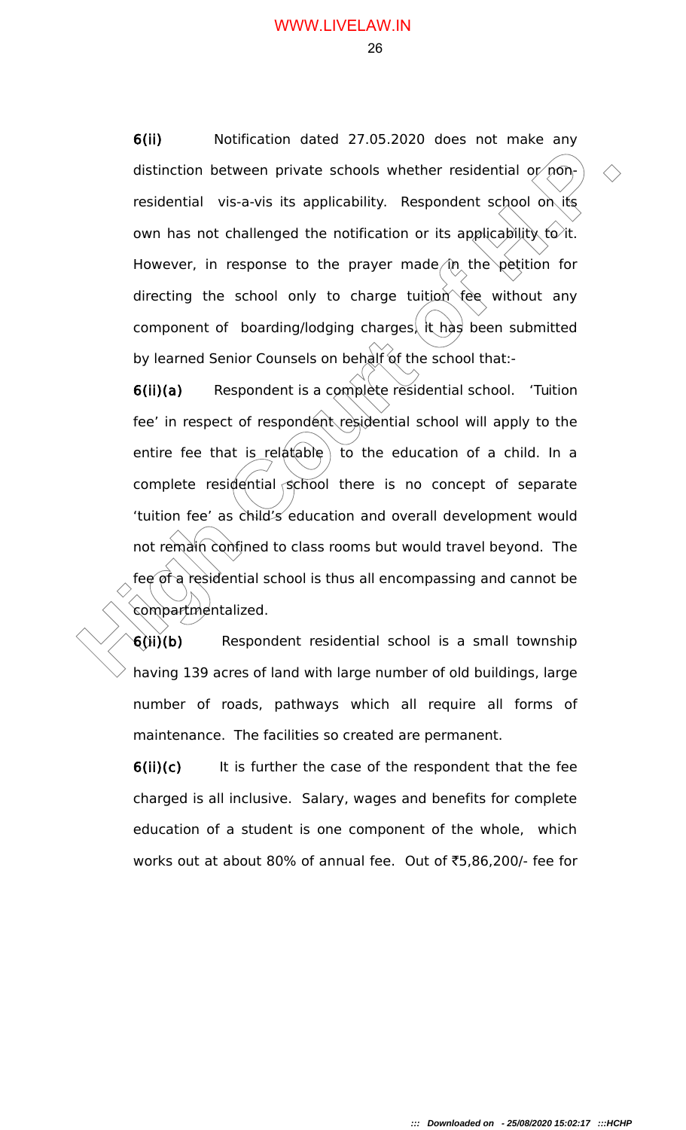6(ii) Notification dated 27.05.2020 does not make any distinction between private schools whether residential or  $n\delta n$ residential vis-a-vis its applicability. Respondent school on its own has not challenged the notification or its applicability to it. However, in response to the prayer made in the petition for directing the school only to charge tuition fee without any component of boarding/lodging charges, it has been submitted by learned Senior Counsels on behalf of the school that:-

distinction between private schools whether residential or non-<br>residential vis-a-vis its applicability. Respondent school on its<br>covn has not challenged the notification or its applicability for the<br>However, in response t 6(ii)(a) Respondent is a complete residential school. 'Tuition fee' in respect of respondent residential school will apply to the entire fee that is relatable to the education of a child. In a complete residential school there is no concept of separate 'tuition fee' as child's education and overall development would not remain confined to class rooms but would travel beyond. The fee of a residential school is thus all encompassing and cannot be compartmentalized.

 $6(ii)(b)$  Respondent residential school is a small township having 139 acres of land with large number of old buildings, large number of roads, pathways which all require all forms of maintenance. The facilities so created are permanent.

 $6(ii)(c)$  It is further the case of the respondent that the fee charged is all inclusive. Salary, wages and benefits for complete education of a student is one component of the whole, which works out at about 80% of annual fee. Out of ₹5,86,200/- fee for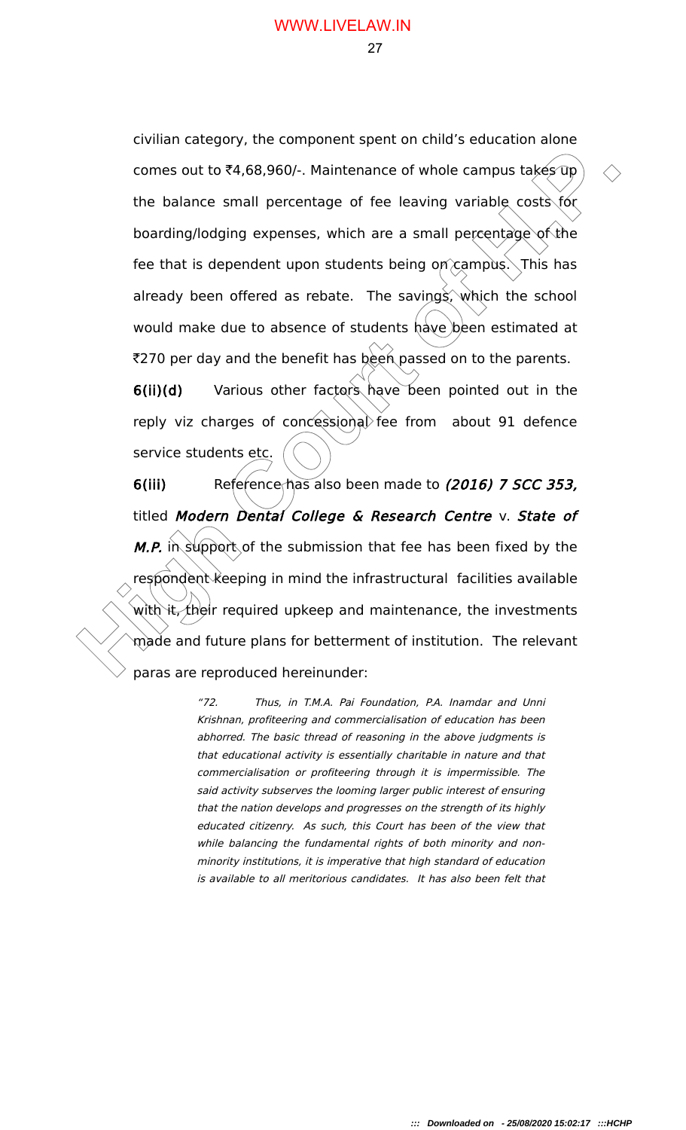comes out to **₹4.68.960/**. Maintenance of whole campus takes 0p<br>
the balance small percentage of fee leaving variable costs for<br>
boarding/lodging expenses, which are a small percentage of the<br>
fee that is dependent upon s civilian category, the component spent on child's education alone comes out to  $\bar{\bar{\xi}}$ 4,68,960/-. Maintenance of whole campus takes up the balance small percentage of fee leaving variable costs for boarding/lodging expenses, which are a small percentage of the fee that is dependent upon students being on campus. This has already been offered as rebate. The savings, which the school would make due to absence of students have been estimated at  $7270$  per day and the benefit has been passed on to the parents.

6(ii)(d) Various other factors have been pointed out in the reply viz charges of concessional fee from about 91 defence service students etc.

6(iii) Reference has also been made to (2016) 7 SCC 353, titled Modern Dental College & Research Centre v. State of M.P. in support of the submission that fee has been fixed by the respondent keeping in mind the infrastructural facilities available with it, their required upkeep and maintenance, the investments made and future plans for betterment of institution. The relevant paras are reproduced hereinunder:

> "72. Thus, in T.M.A. Pai Foundation, P.A. Inamdar and Unni Krishnan, profiteering and commercialisation of education has been abhorred. The basic thread of reasoning in the above judgments is that educational activity is essentially charitable in nature and that commercialisation or profiteering through it is impermissible. The said activity subserves the looming larger public interest of ensuring that the nation develops and progresses on the strength of its highly educated citizenry. As such, this Court has been of the view that while balancing the fundamental rights of both minority and nonminority institutions, it is imperative that high standard of education is available to all meritorious candidates. It has also been felt that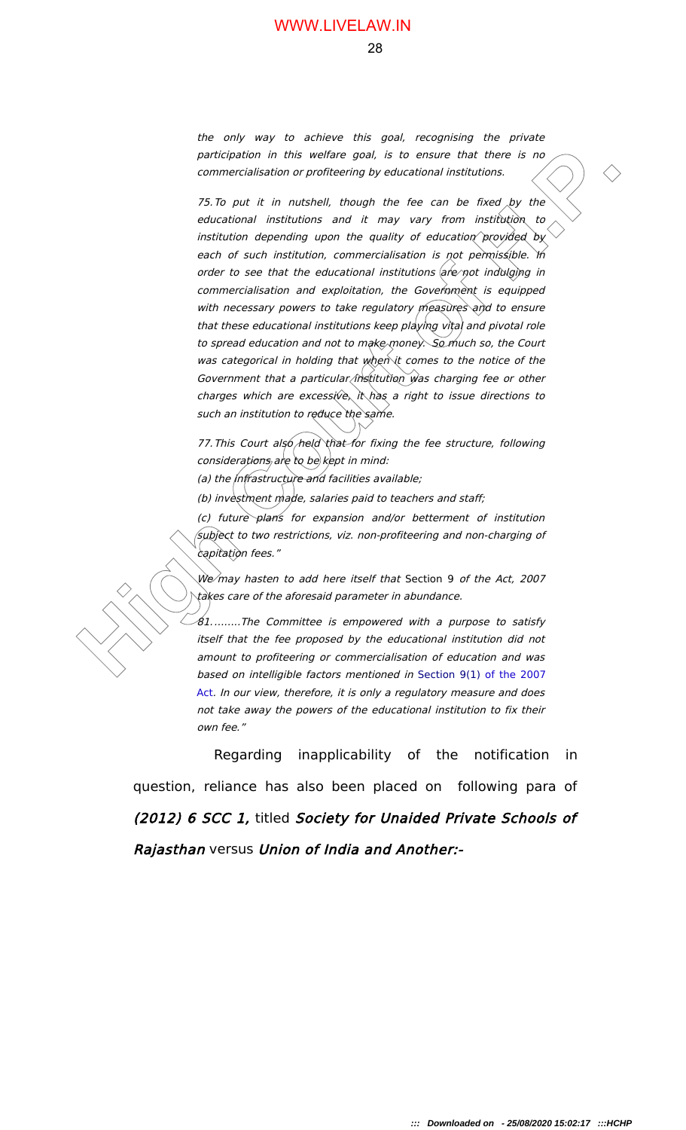the only way to achieve this goal, recognising the private participation in this welfare goal, is to ensure that there is no commercialisation or profiteering by educational institutions.

participate in this wellet of particle and to the effect of the there is no<br>
commercialisation or profiteering by educational matrixines:<br>
The particle in outsidel, though the lee can be fixed, by the<br>
educational institu 75. To put it in nutshell, though the fee can be fixed by the educational institutions and it may vary from institution to institution depending upon the quality of education provided by each of such institution, commercialisation is not permissible. In order to see that the educational institutions (are not indulging in commercialisation and exploitation, the Government is equipped with necessary powers to take regulatory measures and to ensure that these educational institutions keep playing vital and pivotal role to spread education and not to make money. So much so, the Court was categorical in holding that when it comes to the notice of the Government that a particular institution was charging fee or other charges which are excessive, it has a right to issue directions to such an institution to reduce the same.

77. This Court also held that for fixing the fee structure, following considerations are to be kept in mind:

(a) the infrastructure and facilities available;

(b) investment made, salaries paid to teachers and staff;

(c) future plans for expansion and/or betterment of institution subject to two restrictions, viz. non-profiteering and non-charging of capitation fees."

We may hasten to add here itself that Section 9 of the Act, 2007 takes care of the aforesaid parameter in abundance.

81.……..The Committee is empowered with a purpose to satisfy itself that the fee proposed by the educational institution did not amount to profiteering or commercialisation of education and was based on intelligible factors mentioned in Section 9(1) of the 2007 Act. In our view, therefore, it is only a regulatory measure and does not take away the powers of the educational institution to fix their own fee."

Regarding inapplicability of the notification in question, reliance has also been placed on following para of (2012) 6 SCC 1, titled Society for Unaided Private Schools of Rajasthan versus Union of India and Another:-